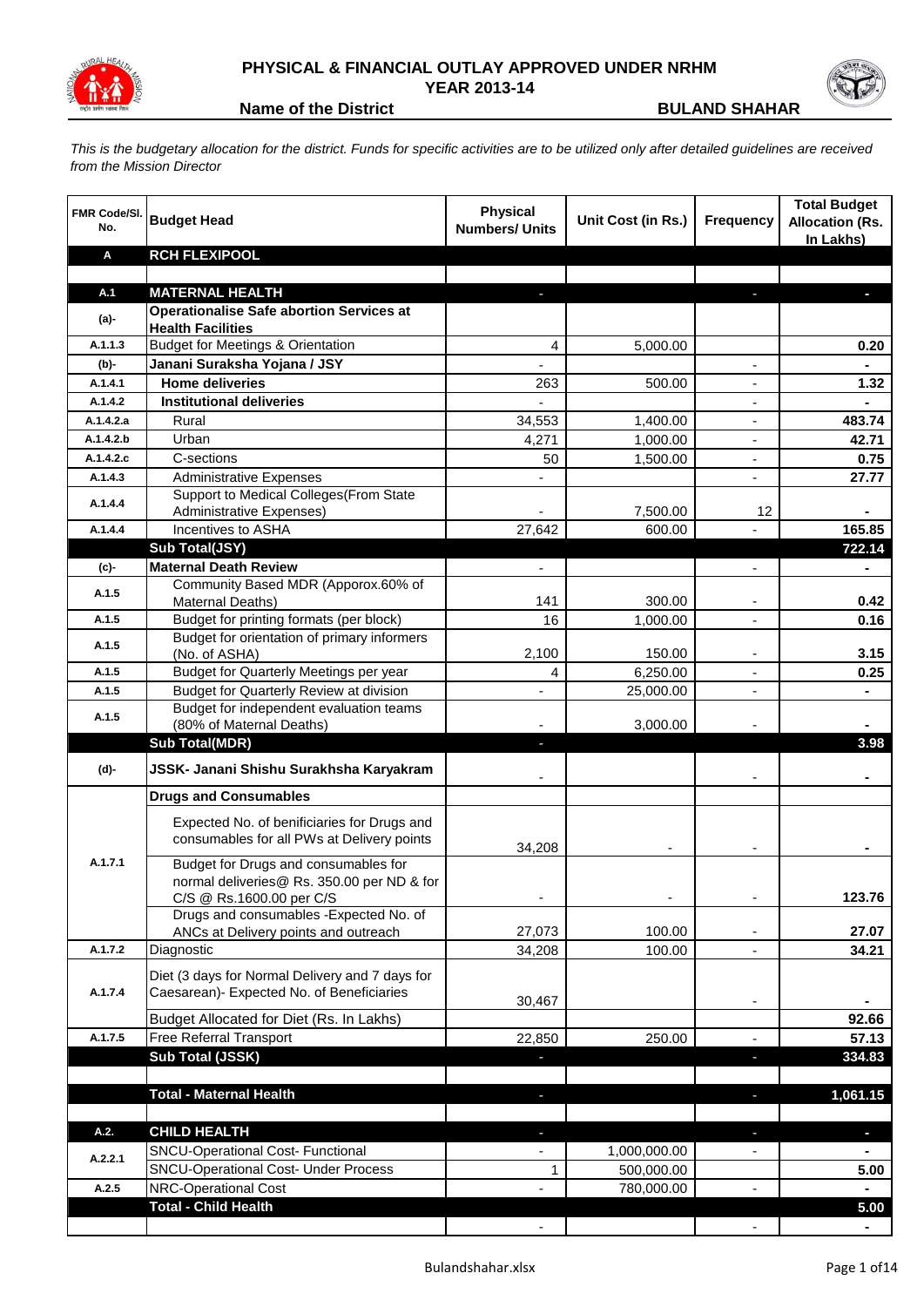

## **PHYSICAL & FINANCIAL OUTLAY APPROVED UNDER NRHM YEAR 2013-14**



**Name of the District <b>BULAND SHAHAR** 

*This is the budgetary allocation for the district. Funds for specific activities are to be utilized only after detailed guidelines are received from the Mission Director*

| <b>FMR Code/SI.</b><br>No. | <b>Budget Head</b>                                                              | <b>Physical</b><br><b>Numbers/ Units</b> | Unit Cost (in Rs.) | <b>Frequency</b>         | <b>Total Budget</b><br><b>Allocation (Rs.</b><br>In Lakhs) |
|----------------------------|---------------------------------------------------------------------------------|------------------------------------------|--------------------|--------------------------|------------------------------------------------------------|
| A                          | <b>RCH FLEXIPOOL</b>                                                            |                                          |                    |                          |                                                            |
|                            |                                                                                 |                                          |                    |                          |                                                            |
| A.1                        | <b>MATERNAL HEALTH</b>                                                          |                                          |                    | J,                       |                                                            |
| (a)-                       | <b>Operationalise Safe abortion Services at</b>                                 |                                          |                    |                          |                                                            |
| A.1.1.3                    | <b>Health Facilities</b><br><b>Budget for Meetings &amp; Orientation</b>        | 4                                        | 5,000.00           |                          | 0.20                                                       |
| $(b)$ -                    | Janani Suraksha Yojana / JSY                                                    |                                          |                    |                          |                                                            |
| A.1.4.1                    | <b>Home deliveries</b>                                                          | 263                                      | 500.00             |                          | 1.32                                                       |
| A.1.4.2                    | <b>Institutional deliveries</b>                                                 |                                          |                    |                          |                                                            |
| A.1.4.2.a                  | Rural                                                                           | 34,553                                   | 1,400.00           |                          | 483.74                                                     |
| A.1.4.2.b                  | Urban                                                                           | 4,271                                    | 1,000.00           | $\overline{\phantom{a}}$ | 42.71                                                      |
| A.1.4.2.c                  | C-sections                                                                      | 50                                       | 1,500.00           | $\overline{\phantom{a}}$ | 0.75                                                       |
| A.1.4.3                    | <b>Administrative Expenses</b>                                                  |                                          |                    |                          | 27.77                                                      |
| A.1.4.4                    | Support to Medical Colleges (From State                                         |                                          |                    |                          |                                                            |
|                            | Administrative Expenses)                                                        |                                          | 7,500.00           | 12                       |                                                            |
| A.1.4.4                    | Incentives to ASHA                                                              | 27,642                                   | 600.00             |                          | 165.85                                                     |
|                            | Sub Total(JSY)                                                                  |                                          |                    |                          | 722.14                                                     |
| (c)-                       | <b>Maternal Death Review</b>                                                    |                                          |                    |                          |                                                            |
| A.1.5                      | Community Based MDR (Apporox.60% of<br>Maternal Deaths)                         | 141                                      | 300.00             |                          | 0.42                                                       |
| A.1.5                      | Budget for printing formats (per block)                                         | 16                                       | 1,000.00           | $\overline{\phantom{a}}$ | 0.16                                                       |
|                            | Budget for orientation of primary informers                                     |                                          |                    |                          |                                                            |
| A.1.5                      | (No. of ASHA)                                                                   | 2,100                                    | 150.00             |                          | 3.15                                                       |
| A.1.5                      | Budget for Quarterly Meetings per year                                          | 4                                        | 6,250.00           | $\overline{a}$           | 0.25                                                       |
| A.1.5                      | Budget for Quarterly Review at division                                         |                                          | 25,000.00          | $\overline{a}$           |                                                            |
| A.1.5                      | Budget for independent evaluation teams                                         |                                          |                    |                          |                                                            |
|                            | (80% of Maternal Deaths)                                                        |                                          | 3,000.00           |                          |                                                            |
|                            | <b>Sub Total(MDR)</b>                                                           | ٠                                        |                    |                          | 3.98                                                       |
| (d)-                       | JSSK- Janani Shishu Surakhsha Karyakram                                         |                                          |                    |                          |                                                            |
|                            | <b>Drugs and Consumables</b>                                                    |                                          |                    |                          |                                                            |
|                            | Expected No. of benificiaries for Drugs and                                     |                                          |                    |                          |                                                            |
|                            | consumables for all PWs at Delivery points                                      | 34,208                                   |                    |                          |                                                            |
| A.1.7.1                    | Budget for Drugs and consumables for                                            |                                          |                    |                          |                                                            |
|                            | normal deliveries@ Rs. 350.00 per ND & for                                      |                                          |                    |                          |                                                            |
|                            | C/S @ Rs.1600.00 per C/S                                                        |                                          |                    |                          | 123.76                                                     |
|                            | Drugs and consumables - Expected No. of<br>ANCs at Delivery points and outreach | 27,073                                   | 100.00             |                          | 27.07                                                      |
| A.1.7.2                    | Diagnostic                                                                      | 34,208                                   | 100.00             | L.                       | 34.21                                                      |
|                            |                                                                                 |                                          |                    |                          |                                                            |
|                            | Diet (3 days for Normal Delivery and 7 days for                                 |                                          |                    |                          |                                                            |
| A.1.7.4                    | Caesarean)- Expected No. of Beneficiaries                                       | 30,467                                   |                    |                          |                                                            |
|                            | Budget Allocated for Diet (Rs. In Lakhs)                                        |                                          |                    |                          | 92.66                                                      |
| A.1.7.5                    | <b>Free Referral Transport</b>                                                  | 22,850                                   | 250.00             |                          | 57.13                                                      |
|                            | Sub Total (JSSK)                                                                |                                          |                    | J,                       | 334.83                                                     |
|                            |                                                                                 |                                          |                    |                          |                                                            |
|                            | <b>Total - Maternal Health</b>                                                  | ٠                                        |                    | $\overline{\phantom{a}}$ | 1,061.15                                                   |
| A.2.                       | <b>CHILD HEALTH</b>                                                             |                                          |                    | $\overline{\phantom{a}}$ | ٠                                                          |
|                            | <b>SNCU-Operational Cost- Functional</b>                                        | ٠<br>$\overline{\phantom{a}}$            | 1,000,000.00       | $\overline{\phantom{a}}$ | $\blacksquare$                                             |
| A.2.2.1                    | <b>SNCU-Operational Cost- Under Process</b>                                     | 1                                        | 500,000.00         |                          | 5.00                                                       |
| A.2.5                      | NRC-Operational Cost                                                            |                                          | 780,000.00         | ÷,                       | $\blacksquare$                                             |
|                            | <b>Total - Child Health</b>                                                     |                                          |                    |                          | 5.00                                                       |
|                            |                                                                                 |                                          |                    |                          | $\blacksquare$                                             |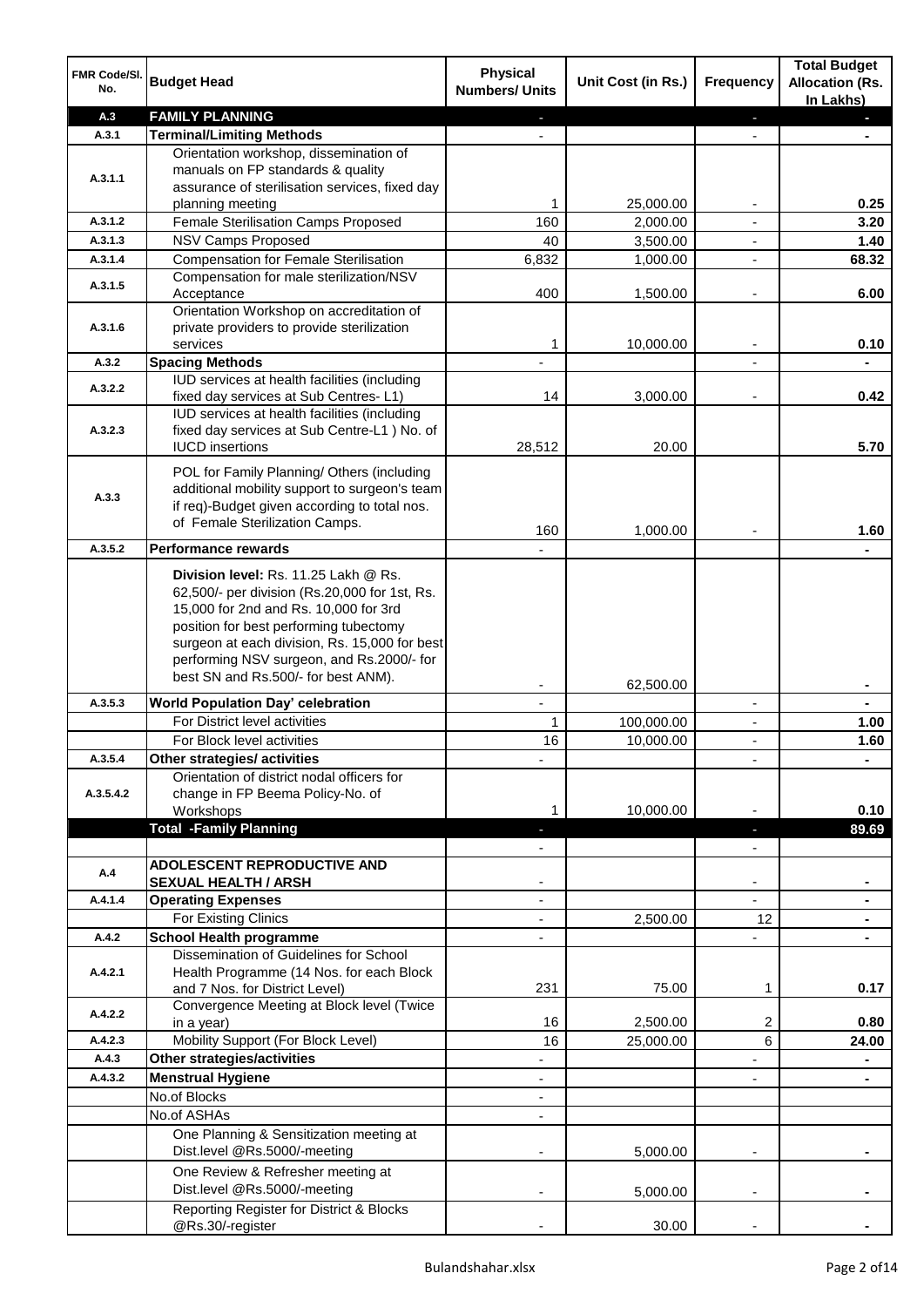| FMR Code/SI.<br>No. | <b>Budget Head</b>                                                                            | <b>Physical</b><br><b>Numbers/ Units</b> | Unit Cost (in Rs.)    | Frequency                | <b>Total Budget</b><br><b>Allocation (Rs.</b><br>In Lakhs) |
|---------------------|-----------------------------------------------------------------------------------------------|------------------------------------------|-----------------------|--------------------------|------------------------------------------------------------|
| A.3                 | <b>FAMILY PLANNING</b>                                                                        |                                          |                       | ٠                        |                                                            |
| A.3.1               | <b>Terminal/Limiting Methods</b>                                                              |                                          |                       |                          |                                                            |
|                     | Orientation workshop, dissemination of                                                        |                                          |                       |                          |                                                            |
| A.3.1.1             | manuals on FP standards & quality                                                             |                                          |                       |                          |                                                            |
|                     | assurance of sterilisation services, fixed day                                                | 1                                        |                       |                          | 0.25                                                       |
| A.3.1.2             | planning meeting<br>Female Sterilisation Camps Proposed                                       | 160                                      | 25,000.00<br>2,000.00 |                          | 3.20                                                       |
| A.3.1.3             | <b>NSV Camps Proposed</b>                                                                     | 40                                       | 3,500.00              | $\blacksquare$           | 1.40                                                       |
| A.3.1.4             | <b>Compensation for Female Sterilisation</b>                                                  | 6,832                                    | 1,000.00              | $\blacksquare$           | 68.32                                                      |
|                     | Compensation for male sterilization/NSV                                                       |                                          |                       |                          |                                                            |
| A.3.1.5             | Acceptance                                                                                    | 400                                      | 1,500.00              | $\overline{a}$           | 6.00                                                       |
|                     | Orientation Workshop on accreditation of                                                      |                                          |                       |                          |                                                            |
| A.3.1.6             | private providers to provide sterilization                                                    |                                          |                       |                          |                                                            |
|                     | services                                                                                      | 1                                        | 10,000.00             | $\blacksquare$           | 0.10                                                       |
| A.3.2               | <b>Spacing Methods</b>                                                                        |                                          |                       |                          |                                                            |
| A.3.2.2             | IUD services at health facilities (including                                                  |                                          |                       |                          |                                                            |
|                     | fixed day services at Sub Centres-L1)<br>IUD services at health facilities (including         | 14                                       | 3,000.00              |                          | 0.42                                                       |
| A.3.2.3             | fixed day services at Sub Centre-L1 ) No. of                                                  |                                          |                       |                          |                                                            |
|                     | <b>IUCD</b> insertions                                                                        | 28,512                                   | 20.00                 |                          | 5.70                                                       |
|                     |                                                                                               |                                          |                       |                          |                                                            |
|                     | POL for Family Planning/ Others (including                                                    |                                          |                       |                          |                                                            |
| A.3.3               | additional mobility support to surgeon's team<br>if req)-Budget given according to total nos. |                                          |                       |                          |                                                            |
|                     | of Female Sterilization Camps.                                                                |                                          |                       |                          |                                                            |
|                     |                                                                                               | 160                                      | 1,000.00              |                          | 1.60                                                       |
| A.3.5.2             | <b>Performance rewards</b>                                                                    |                                          |                       |                          |                                                            |
|                     | Division level: Rs. 11.25 Lakh @ Rs.                                                          |                                          |                       |                          |                                                            |
|                     | 62,500/- per division (Rs.20,000 for 1st, Rs.                                                 |                                          |                       |                          |                                                            |
|                     | 15,000 for 2nd and Rs. 10,000 for 3rd                                                         |                                          |                       |                          |                                                            |
|                     | position for best performing tubectomy                                                        |                                          |                       |                          |                                                            |
|                     | surgeon at each division, Rs. 15,000 for best<br>performing NSV surgeon, and Rs.2000/- for    |                                          |                       |                          |                                                            |
|                     | best SN and Rs.500/- for best ANM).                                                           |                                          |                       |                          |                                                            |
|                     |                                                                                               |                                          | 62,500.00             |                          |                                                            |
| A.3.5.3             | <b>World Population Day' celebration</b>                                                      | $\mathbf{r}$                             |                       | $\blacksquare$           | $\blacksquare$                                             |
|                     | For District level activities                                                                 | 1                                        | 100,000.00            | $\overline{\phantom{a}}$ | 1.00                                                       |
|                     | For Block level activities                                                                    | 16                                       | 10,000.00             | $\blacksquare$           | 1.60                                                       |
| A.3.5.4             | Other strategies/ activities                                                                  |                                          |                       |                          |                                                            |
| A.3.5.4.2           | Orientation of district nodal officers for<br>change in FP Beema Policy-No. of                |                                          |                       |                          |                                                            |
|                     | Workshops                                                                                     |                                          | 10,000.00             |                          | 0.10                                                       |
|                     | <b>Total -Family Planning</b>                                                                 |                                          |                       |                          | 89.69                                                      |
|                     |                                                                                               |                                          |                       |                          |                                                            |
|                     | <b>ADOLESCENT REPRODUCTIVE AND</b>                                                            |                                          |                       |                          |                                                            |
| A.4                 | <b>SEXUAL HEALTH / ARSH</b>                                                                   |                                          |                       |                          |                                                            |
| A.4.1.4             | <b>Operating Expenses</b>                                                                     |                                          |                       |                          |                                                            |
|                     | For Existing Clinics                                                                          |                                          | 2,500.00              | 12                       |                                                            |
| A.4.2               | <b>School Health programme</b>                                                                |                                          |                       |                          |                                                            |
|                     | Dissemination of Guidelines for School                                                        |                                          |                       |                          |                                                            |
| A.4.2.1             | Health Programme (14 Nos. for each Block                                                      |                                          |                       |                          |                                                            |
|                     | and 7 Nos. for District Level)                                                                | 231                                      | 75.00                 | 1                        | 0.17                                                       |
| A.4.2.2             | Convergence Meeting at Block level (Twice<br>in a year)                                       | 16                                       | 2,500.00              | 2                        | 0.80                                                       |
| A.4.2.3             | Mobility Support (For Block Level)                                                            | 16                                       | 25,000.00             | 6                        | 24.00                                                      |
| A.4.3               | Other strategies/activities                                                                   |                                          |                       |                          |                                                            |
| A.4.3.2             | <b>Menstrual Hygiene</b>                                                                      |                                          |                       |                          |                                                            |
|                     | No.of Blocks                                                                                  |                                          |                       |                          |                                                            |
|                     | No.of ASHAs                                                                                   |                                          |                       |                          |                                                            |
|                     | One Planning & Sensitization meeting at                                                       |                                          |                       |                          |                                                            |
|                     | Dist.level @Rs.5000/-meeting                                                                  |                                          | 5,000.00              |                          |                                                            |
|                     | One Review & Refresher meeting at                                                             |                                          |                       |                          |                                                            |
|                     | Dist.level @Rs.5000/-meeting                                                                  |                                          | 5,000.00              |                          |                                                            |
|                     | Reporting Register for District & Blocks                                                      |                                          |                       |                          |                                                            |
|                     | @Rs.30/-register                                                                              |                                          | 30.00                 |                          |                                                            |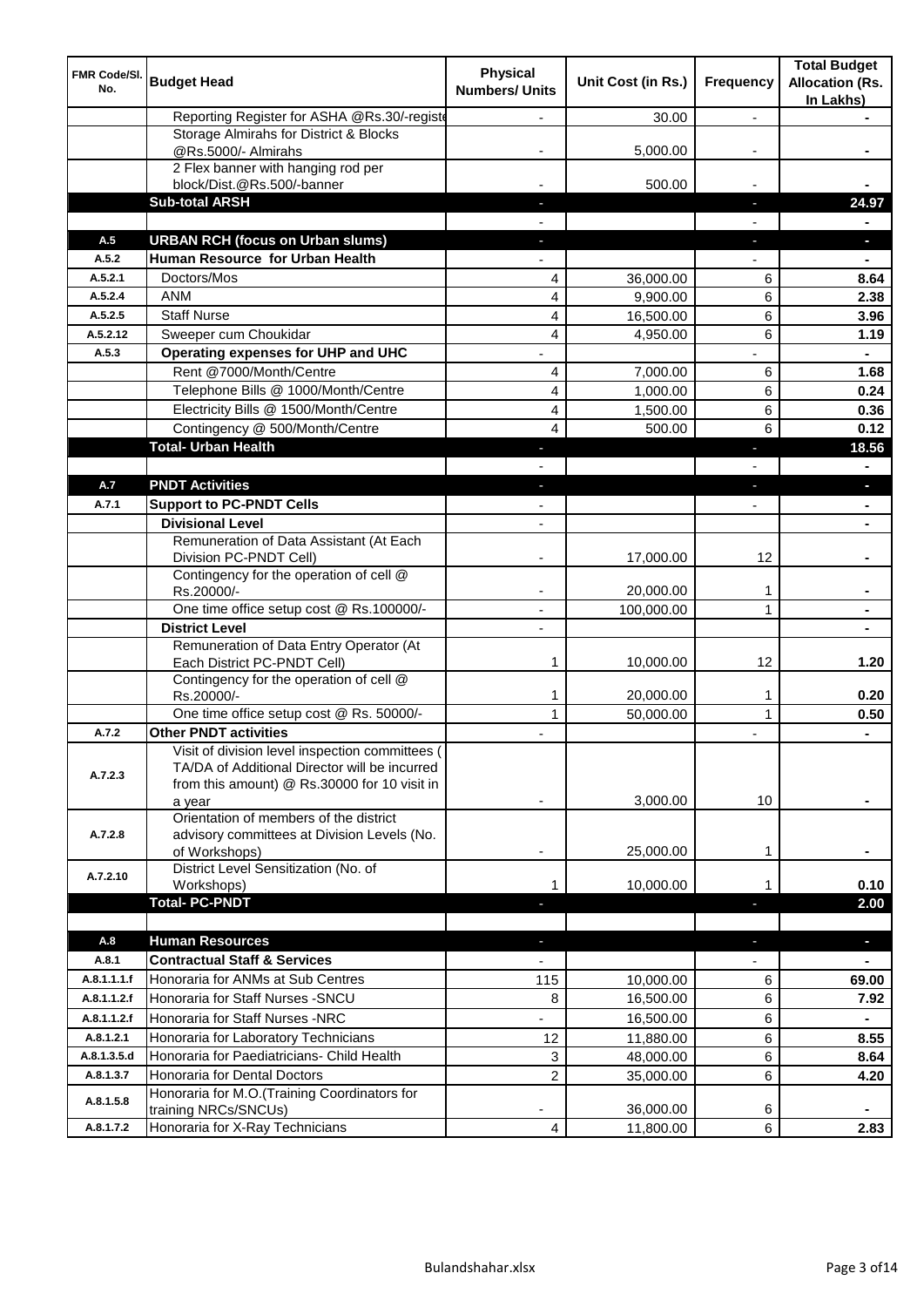| FMR Code/SI.<br>No.    | <b>Budget Head</b>                                                                                                                                         | <b>Physical</b><br><b>Numbers/ Units</b> | Unit Cost (in Rs.) | Frequency      | <b>Total Budget</b><br><b>Allocation (Rs.</b><br>In Lakhs) |
|------------------------|------------------------------------------------------------------------------------------------------------------------------------------------------------|------------------------------------------|--------------------|----------------|------------------------------------------------------------|
|                        | Reporting Register for ASHA @Rs.30/-registe                                                                                                                |                                          | 30.00              | $\overline{a}$ |                                                            |
|                        | Storage Almirahs for District & Blocks<br>@Rs.5000/- Almirahs                                                                                              |                                          | 5,000.00           |                |                                                            |
|                        | 2 Flex banner with hanging rod per                                                                                                                         |                                          |                    |                |                                                            |
|                        | block/Dist.@Rs.500/-banner                                                                                                                                 |                                          | 500.00             |                |                                                            |
|                        | <b>Sub-total ARSH</b>                                                                                                                                      |                                          |                    | ı.             | 24.97                                                      |
|                        |                                                                                                                                                            |                                          |                    |                |                                                            |
| A.5                    | <b>URBAN RCH (focus on Urban slums)</b>                                                                                                                    |                                          |                    | J,             |                                                            |
| A.5.2                  | Human Resource for Urban Health                                                                                                                            |                                          |                    |                |                                                            |
| A.5.2.1                | Doctors/Mos                                                                                                                                                | 4                                        | 36,000.00          | 6              | 8.64                                                       |
| A.5.2.4                | <b>ANM</b>                                                                                                                                                 | 4                                        | 9,900.00           | 6              | 2.38                                                       |
| A.5.2.5                | <b>Staff Nurse</b>                                                                                                                                         | 4                                        | 16,500.00          | 6              | 3.96                                                       |
| A.5.2.12               | Sweeper cum Choukidar                                                                                                                                      | 4                                        | 4,950.00           | 6              | 1.19                                                       |
| A.5.3                  | Operating expenses for UHP and UHC                                                                                                                         |                                          |                    |                |                                                            |
|                        | Rent @7000/Month/Centre                                                                                                                                    | 4                                        | 7,000.00           | 6              | 1.68                                                       |
|                        | Telephone Bills @ 1000/Month/Centre                                                                                                                        | 4                                        | 1,000.00           | 6              | 0.24                                                       |
|                        | Electricity Bills @ 1500/Month/Centre                                                                                                                      | 4                                        | 1,500.00           | 6              | 0.36                                                       |
|                        | Contingency @ 500/Month/Centre                                                                                                                             | 4                                        | 500.00             | 6              | 0.12                                                       |
|                        | <b>Total- Urban Health</b>                                                                                                                                 |                                          |                    | п              | 18.56                                                      |
| A.7                    | <b>PNDT Activities</b>                                                                                                                                     |                                          |                    |                |                                                            |
|                        | <b>Support to PC-PNDT Cells</b>                                                                                                                            |                                          |                    |                |                                                            |
| A.7.1                  | <b>Divisional Level</b>                                                                                                                                    |                                          |                    |                |                                                            |
|                        | Remuneration of Data Assistant (At Each                                                                                                                    | $\overline{\phantom{a}}$                 |                    |                |                                                            |
|                        | Division PC-PNDT Cell)                                                                                                                                     |                                          | 17,000.00          | 12             |                                                            |
|                        | Contingency for the operation of cell @<br>Rs.20000/-                                                                                                      |                                          | 20,000.00          | 1              |                                                            |
|                        | One time office setup cost @ Rs.100000/-                                                                                                                   | $\blacksquare$                           | 100,000.00         | 1              |                                                            |
|                        | <b>District Level</b>                                                                                                                                      |                                          |                    |                |                                                            |
|                        | Remuneration of Data Entry Operator (At<br>Each District PC-PNDT Cell)                                                                                     | 1                                        | 10,000.00          | 12             | 1.20                                                       |
|                        | Contingency for the operation of cell @<br>Rs.20000/-                                                                                                      | 1                                        | 20,000.00          | 1              | 0.20                                                       |
|                        | One time office setup cost @ Rs. 50000/-                                                                                                                   | $\mathbf{1}$                             | 50,000.00          | $\mathbf{1}$   | 0.50                                                       |
| A.7.2                  | <b>Other PNDT activities</b>                                                                                                                               |                                          |                    |                | $\blacksquare$                                             |
| A.7.2.3                | Visit of division level inspection committees (<br>TA/DA of Additional Director will be incurred<br>from this amount) @ Rs.30000 for 10 visit in<br>a year |                                          | 3,000.00           | 10             |                                                            |
| A.7.2.8                | Orientation of members of the district<br>advisory committees at Division Levels (No.<br>of Workshops)                                                     | ٠                                        | 25,000.00          | 1              |                                                            |
| A.7.2.10               | District Level Sensitization (No. of<br>Workshops)                                                                                                         | 1                                        | 10,000.00          |                | 0.10                                                       |
|                        | <b>Total-PC-PNDT</b>                                                                                                                                       |                                          |                    |                | 2.00                                                       |
|                        |                                                                                                                                                            |                                          |                    |                |                                                            |
| A.8                    | <b>Human Resources</b>                                                                                                                                     |                                          |                    | ٠              | $\blacksquare$                                             |
| A.8.1                  | <b>Contractual Staff &amp; Services</b>                                                                                                                    |                                          |                    |                |                                                            |
| A.8.1.1.1.f            | Honoraria for ANMs at Sub Centres                                                                                                                          | 115                                      | 10,000.00          | 6              | 69.00                                                      |
| A.8.1.1.2.f            | Honoraria for Staff Nurses - SNCU                                                                                                                          | 8                                        | 16,500.00          | 6              | 7.92                                                       |
| A.8.1.1.2.f            | Honoraria for Staff Nurses -NRC                                                                                                                            | ÷,                                       | 16,500.00          | 6              | $\blacksquare$                                             |
| A.8.1.2.1              | Honoraria for Laboratory Technicians                                                                                                                       | 12                                       | 11,880.00          | 6              | 8.55                                                       |
| A.8.1.3.5.d            | Honoraria for Paediatricians- Child Health                                                                                                                 | 3                                        | 48,000.00          | 6              | 8.64                                                       |
| A.8.1.3.7<br>A.8.1.5.8 | Honoraria for Dental Doctors<br>Honoraria for M.O.(Training Coordinators for                                                                               | 2                                        | 35,000.00          | 6              | 4.20                                                       |
|                        | training NRCs/SNCUs)                                                                                                                                       |                                          | 36,000.00          | 6              |                                                            |
| A.8.1.7.2              | Honoraria for X-Ray Technicians                                                                                                                            | 4                                        | 11,800.00          | 6              | 2.83                                                       |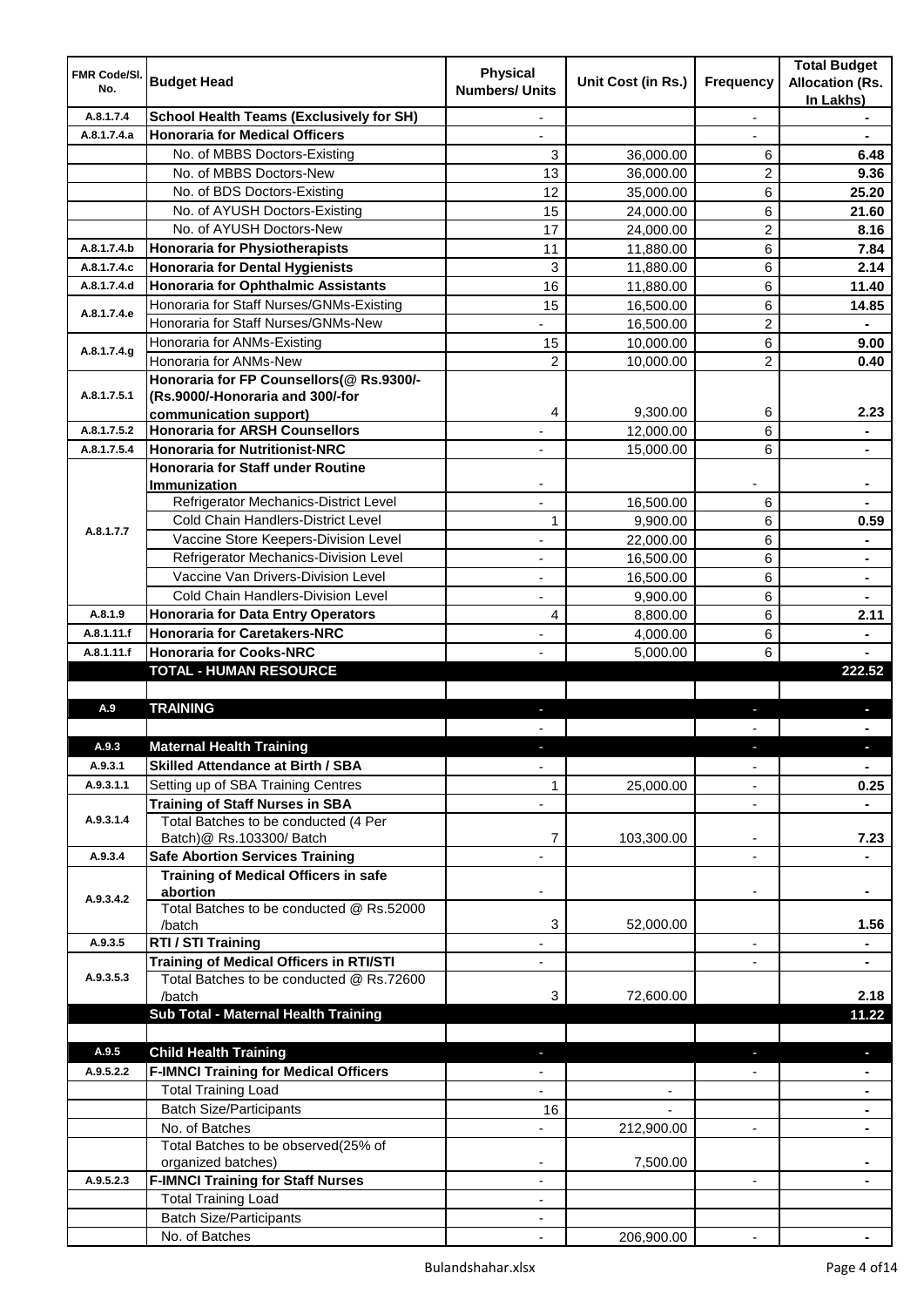| FMR Code/SI. |                                                                                   | <b>Physical</b>          |                          |                          | <b>Total Budget</b>                 |
|--------------|-----------------------------------------------------------------------------------|--------------------------|--------------------------|--------------------------|-------------------------------------|
| No.          | <b>Budget Head</b>                                                                | <b>Numbers/ Units</b>    | Unit Cost (in Rs.)       | Frequency                | <b>Allocation (Rs.</b><br>In Lakhs) |
| A.8.1.7.4    | <b>School Health Teams (Exclusively for SH)</b>                                   |                          |                          |                          |                                     |
| A.8.1.7.4.a  | <b>Honoraria for Medical Officers</b>                                             |                          |                          |                          |                                     |
|              | No. of MBBS Doctors-Existing                                                      | 3                        | 36,000.00                | 6                        | 6.48                                |
|              | No. of MBBS Doctors-New                                                           | 13                       | 36,000.00                | 2                        | 9.36                                |
|              | No. of BDS Doctors-Existing                                                       | 12                       | 35,000.00                | 6                        | 25.20                               |
|              | No. of AYUSH Doctors-Existing                                                     | 15                       | 24,000.00                | 6                        | 21.60                               |
|              | No. of AYUSH Doctors-New                                                          | 17                       | 24,000.00                | 2                        | 8.16                                |
| A.8.1.7.4.b  | <b>Honoraria for Physiotherapists</b>                                             | 11                       | 11,880.00                | 6                        | 7.84                                |
| A.8.1.7.4.c  | <b>Honoraria for Dental Hygienists</b>                                            | 3                        | 11,880.00                | 6                        | 2.14                                |
| A.8.1.7.4.d  | <b>Honoraria for Ophthalmic Assistants</b>                                        | 16                       | 11,880.00                | 6                        | 11.40                               |
| A.8.1.7.4.e  | Honoraria for Staff Nurses/GNMs-Existing                                          | 15                       | 16,500.00                | 6                        | 14.85                               |
|              | Honoraria for Staff Nurses/GNMs-New                                               |                          | 16,500.00                | 2                        |                                     |
| A.8.1.7.4.g  | Honoraria for ANMs-Existing                                                       | 15                       | 10,000.00                | 6                        | 9.00                                |
|              | Honoraria for ANMs-New                                                            | 2                        | 10,000.00                | $\overline{2}$           | 0.40                                |
|              | Honoraria for FP Counsellors(@ Rs.9300/-                                          |                          |                          |                          |                                     |
| A.8.1.7.5.1  | (Rs.9000/-Honoraria and 300/-for                                                  |                          |                          |                          |                                     |
| A.8.1.7.5.2  | communication support)<br><b>Honoraria for ARSH Counsellors</b>                   | 4                        | 9,300.00                 | 6                        | 2.23                                |
|              |                                                                                   | ٠                        | 12,000.00                | 6                        | $\blacksquare$                      |
| A.8.1.7.5.4  | <b>Honoraria for Nutritionist-NRC</b><br><b>Honoraria for Staff under Routine</b> | ٠                        | 15,000.00                | 6                        | $\blacksquare$                      |
|              | <b>Immunization</b>                                                               |                          |                          |                          | $\blacksquare$                      |
|              | Refrigerator Mechanics-District Level                                             | ä,                       | 16,500.00                | 6                        |                                     |
|              | Cold Chain Handlers-District Level                                                | 1                        | 9,900.00                 | 6                        | 0.59                                |
| A.8.1.7.7    | Vaccine Store Keepers-Division Level                                              |                          | 22,000.00                | 6                        |                                     |
|              | Refrigerator Mechanics-Division Level                                             | ä,                       | 16,500.00                | 6                        | $\blacksquare$                      |
|              | Vaccine Van Drivers-Division Level                                                | ä,                       | 16,500.00                | 6                        | $\blacksquare$                      |
|              | Cold Chain Handlers-Division Level                                                | ä,                       | 9,900.00                 | 6                        |                                     |
| A.8.1.9      | <b>Honoraria for Data Entry Operators</b>                                         | 4                        | 8,800.00                 | 6                        | 2.11                                |
| A.8.1.11.f   | <b>Honoraria for Caretakers-NRC</b>                                               |                          | 4,000.00                 | 6                        |                                     |
| A.8.1.11.f   | <b>Honoraria for Cooks-NRC</b>                                                    |                          | 5,000.00                 | 6                        |                                     |
|              | <b>TOTAL - HUMAN RESOURCE</b>                                                     |                          |                          |                          | 222.52                              |
|              |                                                                                   |                          |                          |                          |                                     |
| A.9          | <b>TRAINING</b>                                                                   |                          |                          | ٠                        |                                     |
|              |                                                                                   |                          |                          |                          |                                     |
| A.9.3        | <b>Maternal Health Training</b>                                                   |                          |                          |                          |                                     |
| A.9.3.1      | <b>Skilled Attendance at Birth / SBA</b>                                          | $\overline{\phantom{a}}$ |                          | ۰                        | $\blacksquare$                      |
| A.9.3.1.1    | Setting up of SBA Training Centres                                                | 1                        | 25,000.00                | ۰                        | 0.25                                |
|              | <b>Training of Staff Nurses in SBA</b>                                            | ÷,                       |                          | $\overline{\phantom{a}}$ |                                     |
| A.9.3.1.4    | Total Batches to be conducted (4 Per                                              |                          |                          |                          |                                     |
|              | Batch)@ Rs.103300/ Batch                                                          | 7                        | 103,300.00               | $\overline{\phantom{a}}$ | 7.23                                |
| A.9.3.4      | <b>Safe Abortion Services Training</b>                                            |                          |                          | L,                       |                                     |
|              | <b>Training of Medical Officers in safe</b>                                       |                          |                          |                          |                                     |
| A.9.3.4.2    | abortion<br>Total Batches to be conducted @ Rs.52000                              |                          |                          |                          |                                     |
|              | /batch                                                                            | 3                        | 52,000.00                |                          | 1.56                                |
| A.9.3.5      | RTI / STI Training                                                                | $\overline{\phantom{a}}$ |                          | $\overline{\phantom{a}}$ | $\blacksquare$                      |
|              | <b>Training of Medical Officers in RTI/STI</b>                                    | $\overline{\phantom{a}}$ |                          | $\overline{\phantom{a}}$ | $\blacksquare$                      |
| A.9.3.5.3    | Total Batches to be conducted @ Rs.72600                                          |                          |                          |                          |                                     |
|              | /batch                                                                            | 3                        | 72,600.00                |                          | 2.18                                |
|              | Sub Total - Maternal Health Training                                              |                          |                          |                          | 11.22                               |
|              |                                                                                   |                          |                          |                          |                                     |
| A.9.5        | <b>Child Health Training</b>                                                      |                          |                          | ٠                        | $\blacksquare$                      |
| A.9.5.2.2    | <b>F-IMNCI Training for Medical Officers</b>                                      |                          |                          |                          |                                     |
|              | <b>Total Training Load</b>                                                        | $\overline{\phantom{0}}$ | $\overline{\phantom{a}}$ |                          | $\blacksquare$                      |
|              | <b>Batch Size/Participants</b>                                                    | 16                       |                          |                          |                                     |
|              | No. of Batches                                                                    | $\overline{\phantom{0}}$ | 212,900.00               | $\overline{\phantom{0}}$ | ۰                                   |
|              | Total Batches to be observed(25% of                                               |                          |                          |                          |                                     |
|              | organized batches)                                                                |                          | 7,500.00                 |                          |                                     |
| A.9.5.2.3    | <b>F-IMNCI Training for Staff Nurses</b>                                          | ٠                        |                          | $\overline{\phantom{a}}$ | $\blacksquare$                      |
|              | <b>Total Training Load</b>                                                        | ٠                        |                          |                          |                                     |
|              | <b>Batch Size/Participants</b>                                                    |                          |                          |                          |                                     |
|              | No. of Batches                                                                    |                          | 206,900.00               |                          |                                     |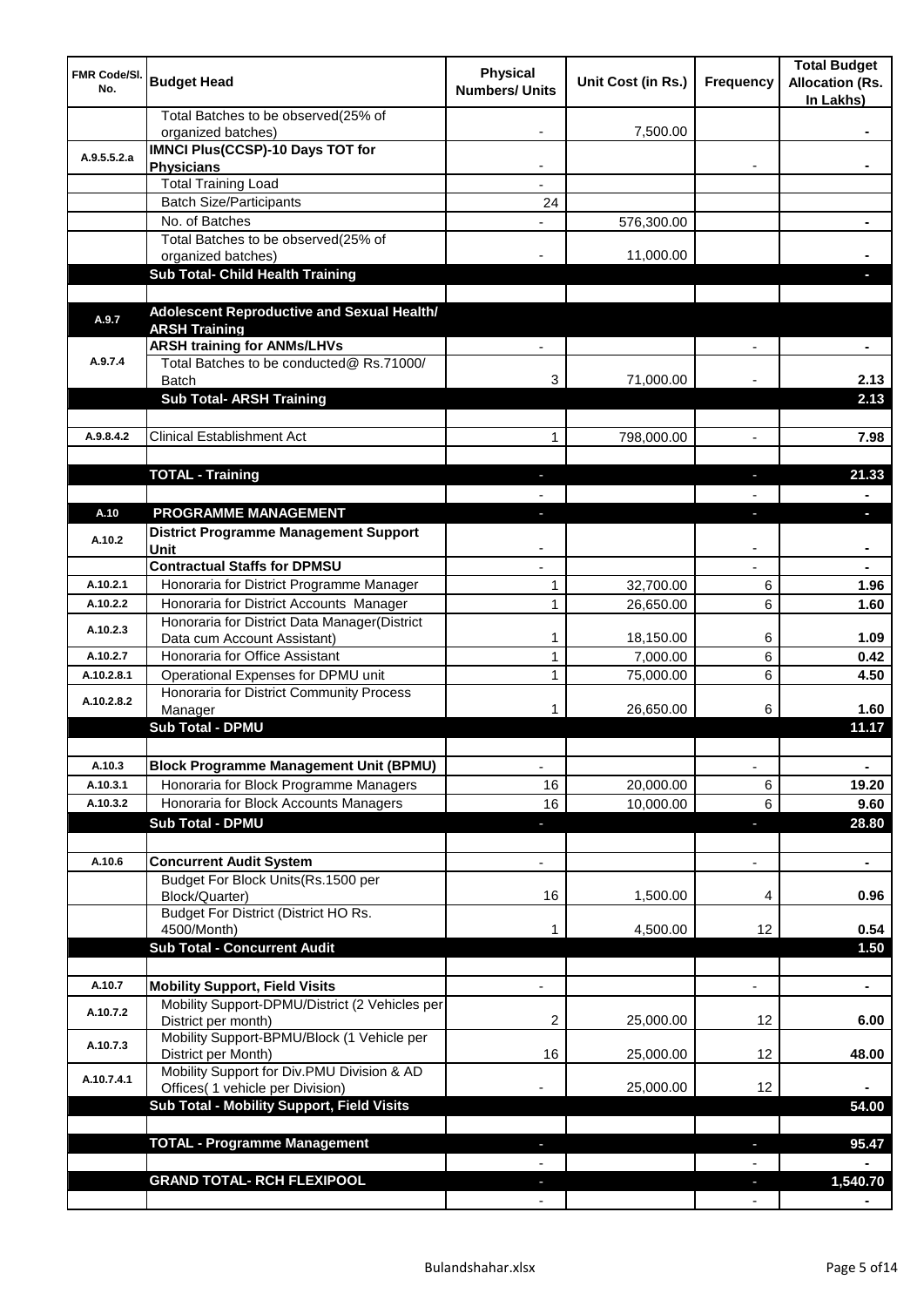| <b>FMR Code/SI.</b><br>No. | <b>Budget Head</b>                                                             | <b>Physical</b><br><b>Numbers/ Units</b> | Unit Cost (in Rs.)    | Frequency                | <b>Total Budget</b><br><b>Allocation (Rs.</b><br>In Lakhs) |
|----------------------------|--------------------------------------------------------------------------------|------------------------------------------|-----------------------|--------------------------|------------------------------------------------------------|
|                            | Total Batches to be observed(25% of<br>organized batches)                      |                                          | 7,500.00              |                          |                                                            |
| A.9.5.5.2.a                | <b>IMNCI Plus(CCSP)-10 Days TOT for</b>                                        |                                          |                       |                          |                                                            |
|                            | <b>Physicians</b>                                                              |                                          |                       |                          |                                                            |
|                            | <b>Total Training Load</b>                                                     |                                          |                       |                          |                                                            |
|                            | <b>Batch Size/Participants</b><br>No. of Batches                               | 24                                       |                       |                          |                                                            |
|                            | Total Batches to be observed(25% of                                            |                                          | 576,300.00            |                          |                                                            |
|                            | organized batches)                                                             |                                          | 11,000.00             |                          |                                                            |
|                            | Sub Total- Child Health Training                                               |                                          |                       |                          |                                                            |
|                            |                                                                                |                                          |                       |                          |                                                            |
| A.9.7                      | Adolescent Reproductive and Sexual Health/                                     |                                          |                       |                          |                                                            |
|                            | <b>ARSH Training</b>                                                           |                                          |                       |                          |                                                            |
|                            | <b>ARSH training for ANMs/LHVs</b>                                             |                                          |                       |                          |                                                            |
| A.9.7.4                    | Total Batches to be conducted@ Rs.71000/                                       |                                          |                       |                          |                                                            |
|                            | <b>Batch</b><br><b>Sub Total- ARSH Training</b>                                | 3                                        | 71,000.00             |                          | 2.13<br>2.13                                               |
|                            |                                                                                |                                          |                       |                          |                                                            |
| A.9.8.4.2                  | <b>Clinical Establishment Act</b>                                              | 1                                        | 798,000.00            | $\overline{a}$           | 7.98                                                       |
|                            |                                                                                |                                          |                       |                          |                                                            |
|                            | <b>TOTAL - Training</b>                                                        |                                          |                       |                          | 21.33                                                      |
|                            |                                                                                |                                          |                       |                          |                                                            |
| A.10                       | PROGRAMME MANAGEMENT                                                           |                                          |                       |                          | a.                                                         |
|                            | <b>District Programme Management Support</b>                                   |                                          |                       |                          |                                                            |
| A.10.2                     | Unit                                                                           |                                          |                       |                          |                                                            |
|                            | <b>Contractual Staffs for DPMSU</b>                                            |                                          |                       |                          |                                                            |
| A.10.2.1                   | Honoraria for District Programme Manager                                       | 1                                        | 32,700.00             | 6                        | 1.96                                                       |
| A.10.2.2                   | Honoraria for District Accounts Manager                                        | $\mathbf{1}$                             | 26,650.00             | 6                        | 1.60                                                       |
| A.10.2.3                   | Honoraria for District Data Manager(District                                   |                                          |                       |                          |                                                            |
| A.10.2.7                   | Data cum Account Assistant)<br>Honoraria for Office Assistant                  | 1                                        | 18,150.00             | 6                        | 1.09                                                       |
| A.10.2.8.1                 | Operational Expenses for DPMU unit                                             | 1<br>1                                   | 7,000.00<br>75,000.00 | 6<br>6                   | 0.42<br>4.50                                               |
|                            | Honoraria for District Community Process                                       |                                          |                       |                          |                                                            |
| A.10.2.8.2                 | Manager                                                                        | 1                                        | 26,650.00             | 6                        | 1.60                                                       |
|                            | <b>Sub Total - DPMU</b>                                                        |                                          |                       |                          | 11.17                                                      |
|                            |                                                                                |                                          |                       |                          |                                                            |
| A.10.3                     | <b>Block Programme Management Unit (BPMU)</b>                                  | $\overline{\phantom{a}}$                 |                       | $\overline{\phantom{a}}$ | $\blacksquare$                                             |
| A.10.3.1                   | Honoraria for Block Programme Managers                                         | 16                                       | 20,000.00             | 6                        | 19.20                                                      |
| A.10.3.2                   | Honoraria for Block Accounts Managers                                          | 16                                       | 10,000.00             | 6                        | 9.60                                                       |
|                            | <b>Sub Total - DPMU</b>                                                        | ٠                                        |                       | J,                       | 28.80                                                      |
|                            |                                                                                |                                          |                       |                          |                                                            |
| A.10.6                     | <b>Concurrent Audit System</b>                                                 |                                          |                       | $\overline{\phantom{0}}$ | $\blacksquare$                                             |
|                            | Budget For Block Units(Rs.1500 per                                             |                                          |                       |                          |                                                            |
|                            | Block/Quarter)<br>Budget For District (District HO Rs.                         | 16                                       | 1,500.00              | 4                        | 0.96                                                       |
|                            | 4500/Month)                                                                    |                                          | 4,500.00              | 12                       | 0.54                                                       |
|                            | <b>Sub Total - Concurrent Audit</b>                                            |                                          |                       |                          | 1.50                                                       |
|                            |                                                                                |                                          |                       |                          |                                                            |
| A.10.7                     | <b>Mobility Support, Field Visits</b>                                          |                                          |                       | $\overline{a}$           | $\blacksquare$                                             |
| A.10.7.2                   | Mobility Support-DPMU/District (2 Vehicles per<br>District per month)          | 2                                        | 25,000.00             | 12                       | 6.00                                                       |
| A.10.7.3                   | Mobility Support-BPMU/Block (1 Vehicle per<br>District per Month)              | 16                                       | 25,000.00             | 12                       | 48.00                                                      |
| A.10.7.4.1                 | Mobility Support for Div.PMU Division & AD<br>Offices( 1 vehicle per Division) |                                          | 25,000.00             | 12                       |                                                            |
|                            | Sub Total - Mobility Support, Field Visits                                     |                                          |                       |                          | 54.00                                                      |
|                            |                                                                                |                                          |                       |                          |                                                            |
|                            | <b>TOTAL - Programme Management</b>                                            |                                          |                       | ı.                       | 95.47                                                      |
|                            |                                                                                |                                          |                       |                          |                                                            |
|                            | <b>GRAND TOTAL- RCH FLEXIPOOL</b>                                              |                                          |                       |                          | 1,540.70                                                   |
|                            |                                                                                |                                          |                       |                          |                                                            |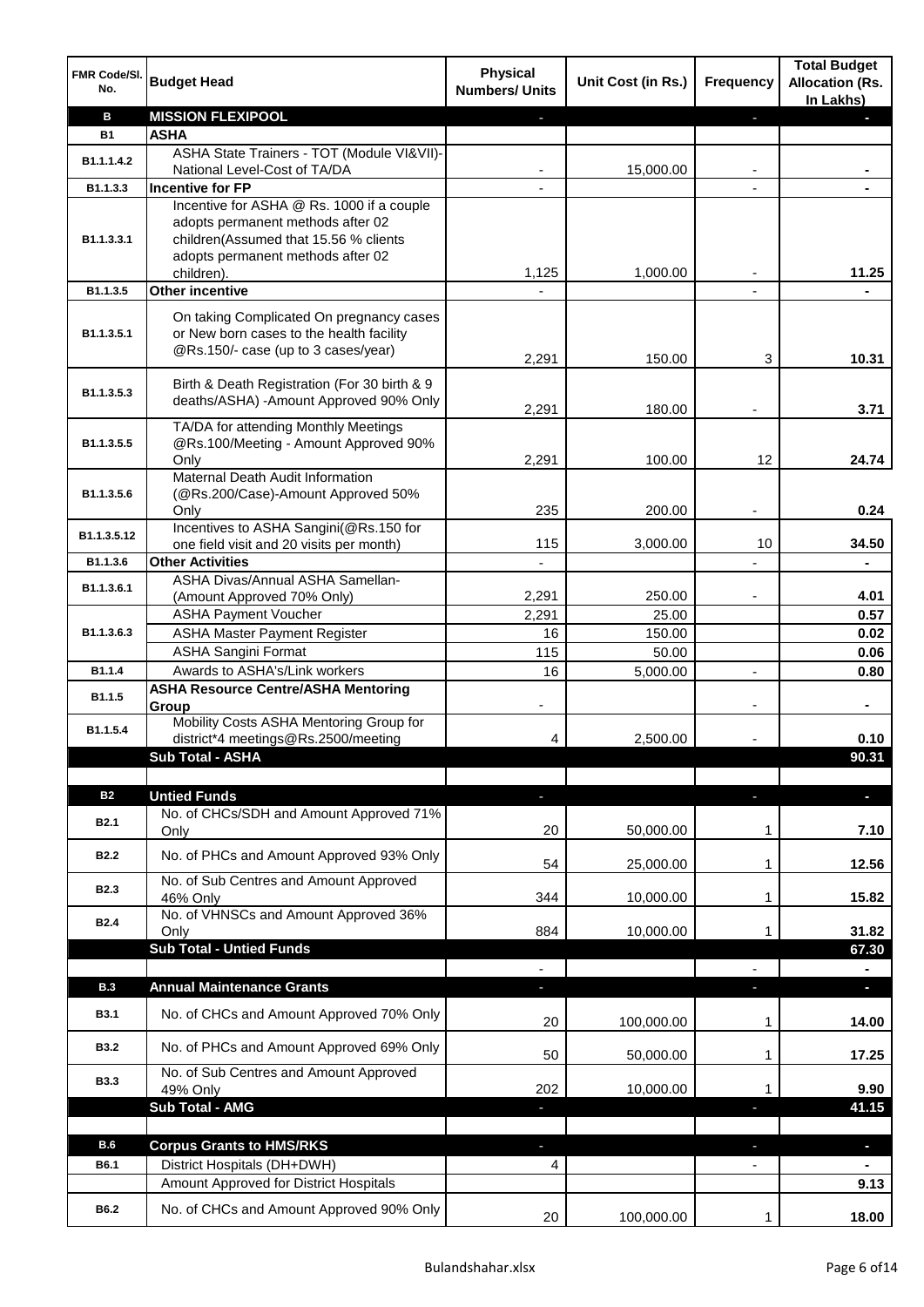| FMR Code/SI.<br>No. | <b>Budget Head</b>                                                            | <b>Physical</b><br><b>Numbers/ Units</b> | Unit Cost (in Rs.) | <b>Frequency</b> | <b>Total Budget</b><br><b>Allocation (Rs.</b><br>In Lakhs) |
|---------------------|-------------------------------------------------------------------------------|------------------------------------------|--------------------|------------------|------------------------------------------------------------|
| B                   | <b>MISSION FLEXIPOOL</b>                                                      |                                          |                    | E.               |                                                            |
| <b>B1</b>           | <b>ASHA</b>                                                                   |                                          |                    |                  |                                                            |
|                     | ASHA State Trainers - TOT (Module VI&VII)-                                    |                                          |                    |                  |                                                            |
| B1.1.1.4.2          | National Level-Cost of TA/DA                                                  |                                          | 15,000.00          |                  |                                                            |
| B1.1.3.3            | <b>Incentive for FP</b>                                                       |                                          |                    |                  |                                                            |
|                     | Incentive for ASHA @ Rs. 1000 if a couple                                     |                                          |                    |                  |                                                            |
|                     | adopts permanent methods after 02                                             |                                          |                    |                  |                                                            |
| B1.1.3.3.1          | children(Assumed that 15.56 % clients                                         |                                          |                    |                  |                                                            |
|                     | adopts permanent methods after 02                                             |                                          |                    |                  |                                                            |
|                     | children).                                                                    | 1,125                                    | 1,000.00           |                  | 11.25                                                      |
| B1.1.3.5            | Other incentive                                                               |                                          |                    |                  |                                                            |
|                     | On taking Complicated On pregnancy cases                                      |                                          |                    |                  |                                                            |
| B1.1.3.5.1          | or New born cases to the health facility                                      |                                          |                    |                  |                                                            |
|                     | @Rs.150/- case (up to 3 cases/year)                                           |                                          |                    |                  |                                                            |
|                     |                                                                               | 2,291                                    | 150.00             | 3                | 10.31                                                      |
|                     | Birth & Death Registration (For 30 birth & 9                                  |                                          |                    |                  |                                                            |
| B1.1.3.5.3          | deaths/ASHA) -Amount Approved 90% Only                                        |                                          |                    |                  |                                                            |
|                     |                                                                               | 2,291                                    | 180.00             |                  | 3.71                                                       |
| B1.1.3.5.5          | TA/DA for attending Monthly Meetings<br>@Rs.100/Meeting - Amount Approved 90% |                                          |                    |                  |                                                            |
|                     | Only                                                                          | 2,291                                    | 100.00             | 12               | 24.74                                                      |
|                     | Maternal Death Audit Information                                              |                                          |                    |                  |                                                            |
| B1.1.3.5.6          | (@Rs.200/Case)-Amount Approved 50%                                            |                                          |                    |                  |                                                            |
|                     | Only                                                                          | 235                                      | 200.00             |                  | 0.24                                                       |
|                     | Incentives to ASHA Sangini(@Rs.150 for                                        |                                          |                    |                  |                                                            |
| B1.1.3.5.12         | one field visit and 20 visits per month)                                      | 115                                      | 3,000.00           | 10               | 34.50                                                      |
| B1.1.3.6            | <b>Other Activities</b>                                                       | $\overline{\phantom{a}}$                 |                    |                  |                                                            |
|                     | ASHA Divas/Annual ASHA Samellan-                                              |                                          |                    |                  |                                                            |
| B1.1.3.6.1          | (Amount Approved 70% Only)                                                    | 2,291                                    | 250.00             |                  | 4.01                                                       |
|                     | <b>ASHA Payment Voucher</b>                                                   | 2,291                                    | 25.00              |                  | 0.57                                                       |
| B1.1.3.6.3          | <b>ASHA Master Payment Register</b>                                           | 16                                       | 150.00             |                  | 0.02                                                       |
|                     | <b>ASHA Sangini Format</b>                                                    | 115                                      | 50.00              |                  | 0.06                                                       |
| B1.1.4              | Awards to ASHA's/Link workers                                                 | 16                                       | 5,000.00           | $\overline{a}$   | 0.80                                                       |
|                     | <b>ASHA Resource Centre/ASHA Mentoring</b>                                    |                                          |                    |                  |                                                            |
| B1.1.5              | Group                                                                         |                                          |                    |                  | $\blacksquare$                                             |
|                     | Mobility Costs ASHA Mentoring Group for                                       |                                          |                    |                  |                                                            |
| B1.1.5.4            | district*4 meetings@Rs.2500/meeting                                           | 4                                        | 2,500.00           |                  | 0.10                                                       |
|                     | <b>Sub Total - ASHA</b>                                                       |                                          |                    |                  | 90.31                                                      |
|                     |                                                                               |                                          |                    |                  |                                                            |
| <b>B2</b>           | <b>Untied Funds</b>                                                           | ٠                                        |                    | J,               | $\blacksquare$                                             |
|                     | No. of CHCs/SDH and Amount Approved 71%                                       |                                          |                    |                  |                                                            |
| <b>B2.1</b>         | Only                                                                          | 20                                       | 50,000.00          | 1                | 7.10                                                       |
|                     |                                                                               |                                          |                    |                  |                                                            |
| <b>B2.2</b>         | No. of PHCs and Amount Approved 93% Only                                      | 54                                       | 25,000.00          | 1                | 12.56                                                      |
|                     | No. of Sub Centres and Amount Approved                                        |                                          |                    |                  |                                                            |
| <b>B2.3</b>         | 46% Only                                                                      | 344                                      | 10,000.00          | 1                | 15.82                                                      |
| <b>B2.4</b>         | No. of VHNSCs and Amount Approved 36%                                         |                                          |                    |                  |                                                            |
|                     | Only                                                                          | 884                                      | 10,000.00          | 1                | 31.82                                                      |
|                     | <b>Sub Total - Untied Funds</b>                                               |                                          |                    |                  | 67.30                                                      |
|                     |                                                                               |                                          |                    |                  |                                                            |
| <b>B.3</b>          | <b>Annual Maintenance Grants</b>                                              |                                          |                    |                  |                                                            |
| <b>B3.1</b>         | No. of CHCs and Amount Approved 70% Only                                      |                                          |                    |                  |                                                            |
|                     |                                                                               | 20                                       | 100,000.00         | 1                | 14.00                                                      |
| <b>B3.2</b>         | No. of PHCs and Amount Approved 69% Only                                      |                                          |                    |                  |                                                            |
|                     |                                                                               | 50                                       | 50,000.00          | 1                | 17.25                                                      |
| <b>B3.3</b>         | No. of Sub Centres and Amount Approved                                        |                                          |                    |                  |                                                            |
|                     | 49% Only                                                                      | 202                                      | 10,000.00          | 1                | 9.90                                                       |
|                     | <b>Sub Total - AMG</b>                                                        | ٠                                        |                    | J,               | 41.15                                                      |
|                     |                                                                               |                                          |                    |                  |                                                            |
| <b>B.6</b>          | <b>Corpus Grants to HMS/RKS</b>                                               |                                          |                    |                  | $\blacksquare$                                             |
| B6.1                | District Hospitals (DH+DWH)                                                   | 4                                        |                    |                  |                                                            |
|                     | Amount Approved for District Hospitals                                        |                                          |                    |                  | 9.13                                                       |
| B6.2                | No. of CHCs and Amount Approved 90% Only                                      |                                          |                    |                  |                                                            |
|                     |                                                                               | 20                                       | 100,000.00         | 1                | 18.00                                                      |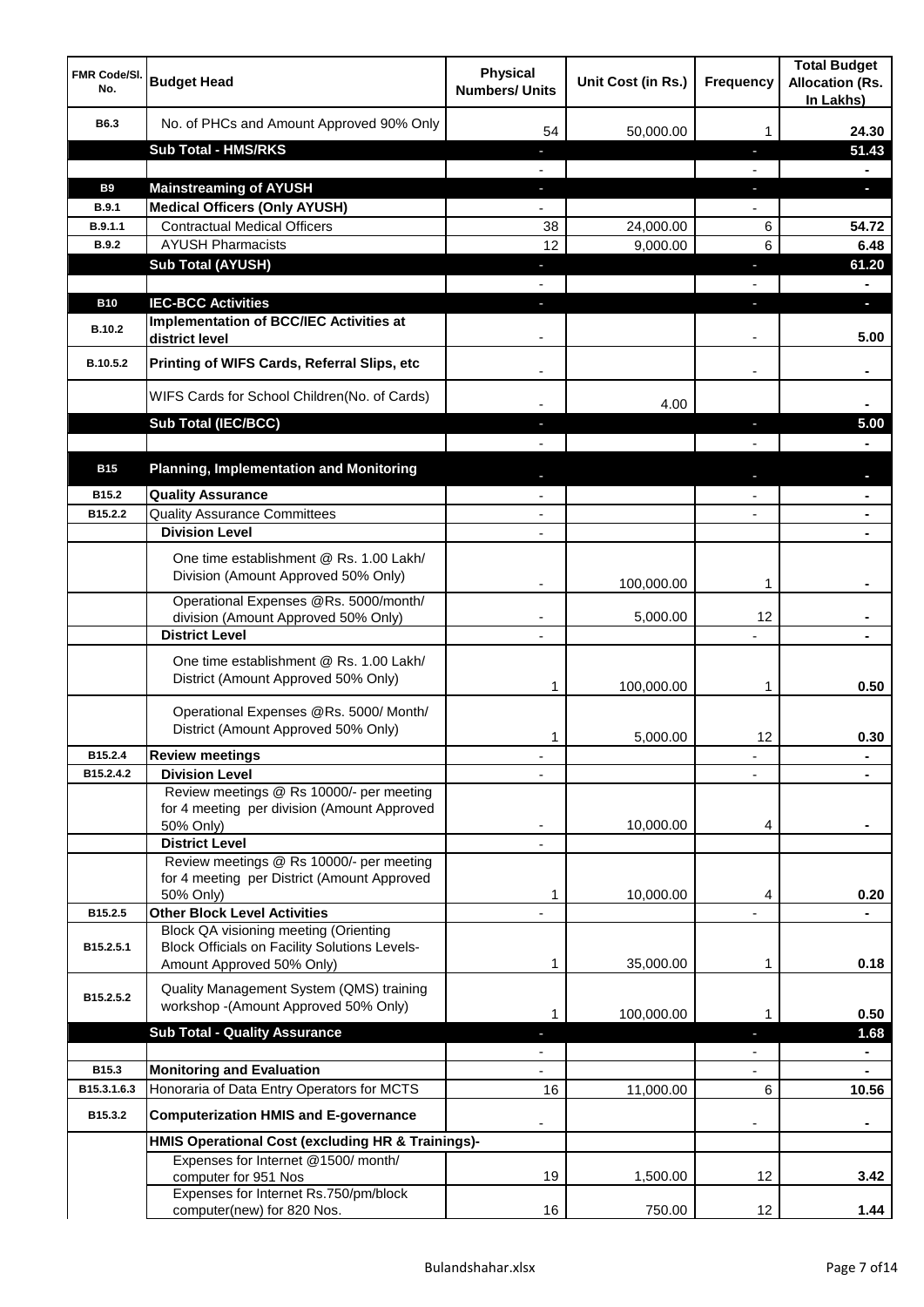| <b>FMR Code/SI.</b><br>No. | <b>Budget Head</b>                                                                                    | <b>Physical</b><br><b>Numbers/ Units</b>             | Unit Cost (in Rs.) | <b>Frequency</b> | <b>Total Budget</b><br><b>Allocation (Rs.</b><br>In Lakhs) |
|----------------------------|-------------------------------------------------------------------------------------------------------|------------------------------------------------------|--------------------|------------------|------------------------------------------------------------|
| B6.3                       | No. of PHCs and Amount Approved 90% Only                                                              | 54                                                   | 50,000.00          | 1                | 24.30                                                      |
|                            | <b>Sub Total - HMS/RKS</b>                                                                            | ٠                                                    |                    | J,               | 51.43                                                      |
|                            |                                                                                                       |                                                      |                    |                  |                                                            |
| <b>B9</b>                  | <b>Mainstreaming of AYUSH</b>                                                                         | o,                                                   |                    | T                | o.                                                         |
| B.9.1                      | <b>Medical Officers (Only AYUSH)</b>                                                                  |                                                      |                    |                  |                                                            |
| B.9.1.1                    | <b>Contractual Medical Officers</b>                                                                   | 38                                                   | 24,000.00          | 6                | 54.72                                                      |
| <b>B.9.2</b>               | <b>AYUSH Pharmacists</b>                                                                              | 12                                                   | 9,000.00           | 6                | 6.48                                                       |
|                            | <b>Sub Total (AYUSH)</b>                                                                              | ٠                                                    |                    | J,               | 61.20                                                      |
|                            |                                                                                                       |                                                      |                    |                  |                                                            |
| <b>B10</b>                 | <b>IEC-BCC Activities</b>                                                                             |                                                      |                    | ı.               | н                                                          |
| <b>B.10.2</b>              | <b>Implementation of BCC/IEC Activities at</b><br>district level                                      |                                                      |                    |                  | 5.00                                                       |
| B.10.5.2                   | Printing of WIFS Cards, Referral Slips, etc                                                           |                                                      |                    | $\blacksquare$   |                                                            |
|                            | WIFS Cards for School Children(No. of Cards)                                                          |                                                      | 4.00               |                  |                                                            |
|                            | Sub Total (IEC/BCC)                                                                                   |                                                      |                    | ı                | 5.00                                                       |
|                            |                                                                                                       |                                                      |                    |                  |                                                            |
| <b>B15</b>                 | <b>Planning, Implementation and Monitoring</b>                                                        |                                                      |                    |                  |                                                            |
| B15.2                      | <b>Quality Assurance</b>                                                                              |                                                      |                    |                  |                                                            |
| B15.2.2                    | <b>Quality Assurance Committees</b>                                                                   | $\overline{\phantom{a}}$                             |                    |                  |                                                            |
|                            | <b>Division Level</b>                                                                                 | $\blacksquare$                                       |                    |                  | $\blacksquare$                                             |
|                            | One time establishment @ Rs. 1.00 Lakh/<br>Division (Amount Approved 50% Only)                        |                                                      |                    |                  |                                                            |
|                            |                                                                                                       |                                                      | 100,000.00         | 1                |                                                            |
|                            | Operational Expenses @Rs. 5000/month/<br>division (Amount Approved 50% Only)<br><b>District Level</b> | $\overline{\phantom{a}}$<br>$\overline{\phantom{a}}$ | 5,000.00           | 12               |                                                            |
|                            |                                                                                                       |                                                      |                    |                  |                                                            |
|                            | One time establishment @ Rs. 1.00 Lakh/<br>District (Amount Approved 50% Only)                        | 1                                                    | 100,000.00         | 1                | 0.50                                                       |
|                            | Operational Expenses @Rs. 5000/ Month/<br>District (Amount Approved 50% Only)                         | 1                                                    | 5,000.00           | 12               | 0.30                                                       |
| B15.2.4                    | <b>Review meetings</b>                                                                                |                                                      |                    | ٠                |                                                            |
| B15.2.4.2                  | <b>Division Level</b>                                                                                 |                                                      |                    |                  |                                                            |
|                            | Review meetings @ Rs 10000/- per meeting<br>for 4 meeting per division (Amount Approved<br>50% Only)  |                                                      | 10,000.00          | 4                |                                                            |
|                            | <b>District Level</b>                                                                                 |                                                      |                    |                  |                                                            |
|                            | Review meetings @ Rs 10000/- per meeting                                                              |                                                      |                    |                  |                                                            |
|                            | for 4 meeting per District (Amount Approved                                                           |                                                      |                    |                  |                                                            |
| B15.2.5                    | 50% Only)<br><b>Other Block Level Activities</b>                                                      | 1                                                    | 10,000.00          | 4                | 0.20                                                       |
|                            | Block QA visioning meeting (Orienting                                                                 |                                                      |                    |                  |                                                            |
| B15.2.5.1                  | <b>Block Officials on Facility Solutions Levels-</b>                                                  |                                                      |                    |                  |                                                            |
|                            | Amount Approved 50% Only)                                                                             | 1                                                    | 35,000.00          | 1                | 0.18                                                       |
| B15.2.5.2                  | Quality Management System (QMS) training<br>workshop -(Amount Approved 50% Only)                      |                                                      |                    |                  |                                                            |
|                            |                                                                                                       | 1                                                    | 100,000.00         | 1                | 0.50                                                       |
|                            | <b>Sub Total - Quality Assurance</b>                                                                  |                                                      |                    |                  | 1.68                                                       |
| B15.3                      | <b>Monitoring and Evaluation</b>                                                                      |                                                      |                    |                  |                                                            |
| B15.3.1.6.3                | Honoraria of Data Entry Operators for MCTS                                                            | 16                                                   | 11,000.00          | 6                | 10.56                                                      |
| B15.3.2                    | <b>Computerization HMIS and E-governance</b>                                                          |                                                      |                    |                  |                                                            |
|                            | HMIS Operational Cost (excluding HR & Trainings)-                                                     |                                                      |                    |                  |                                                            |
|                            | Expenses for Internet @1500/month/                                                                    |                                                      |                    |                  |                                                            |
|                            | computer for 951 Nos                                                                                  | 19                                                   | 1,500.00           | 12               | 3.42                                                       |
|                            | Expenses for Internet Rs.750/pm/block                                                                 |                                                      |                    |                  |                                                            |
|                            | computer(new) for 820 Nos.                                                                            | 16                                                   | 750.00             | 12               | 1.44                                                       |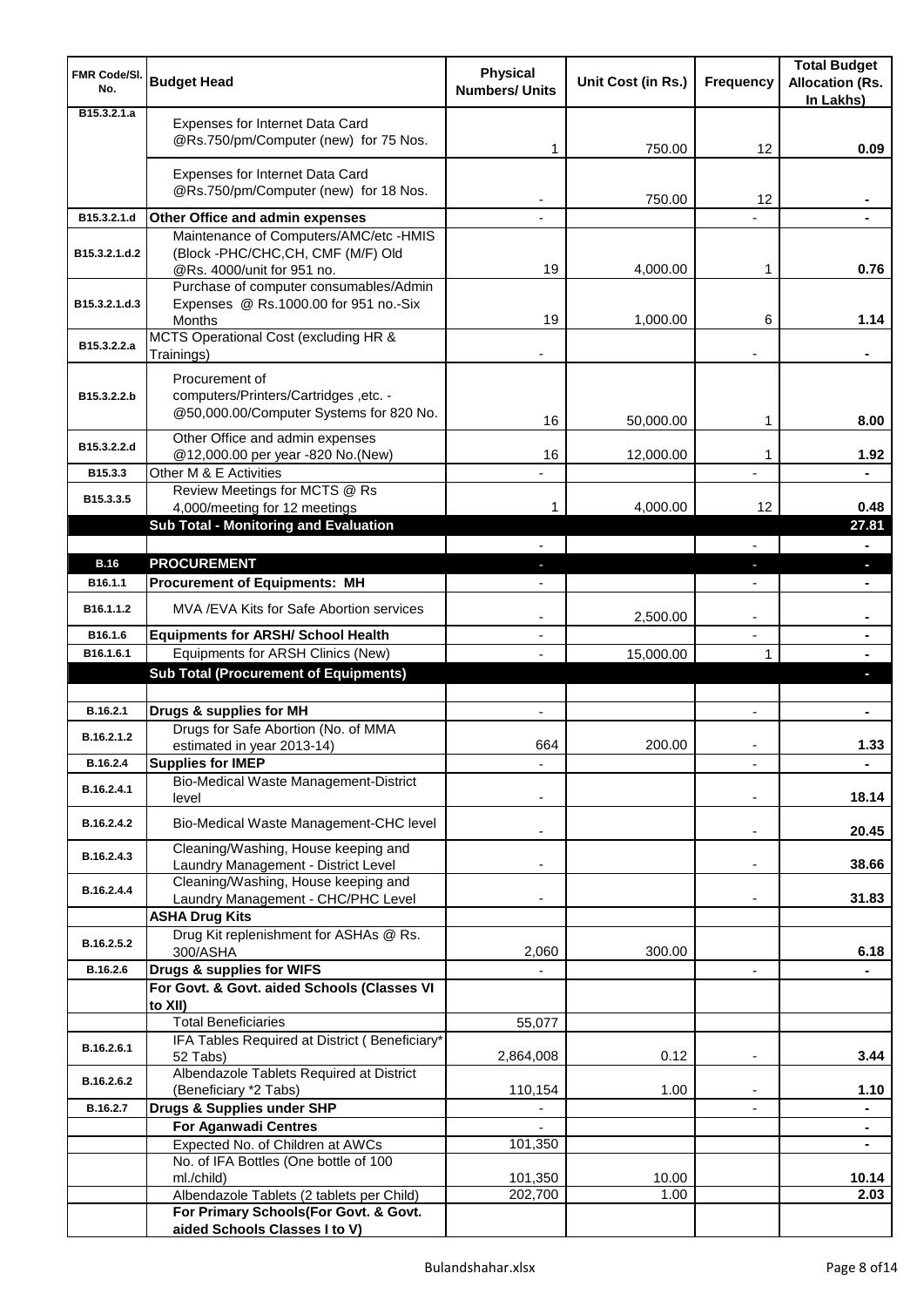| <b>FMR Code/SI.</b><br>No.   | <b>Budget Head</b>                                                                                                | <b>Physical</b><br><b>Numbers/ Units</b> | Unit Cost (in Rs.) | <b>Frequency</b>         | <b>Total Budget</b><br><b>Allocation (Rs.</b><br>In Lakhs) |
|------------------------------|-------------------------------------------------------------------------------------------------------------------|------------------------------------------|--------------------|--------------------------|------------------------------------------------------------|
| B <sub>15</sub> , 3, 2, 1, a | Expenses for Internet Data Card<br>@Rs.750/pm/Computer (new) for 75 Nos.                                          | 1                                        | 750.00             | 12                       | 0.09                                                       |
|                              | Expenses for Internet Data Card<br>@Rs.750/pm/Computer (new) for 18 Nos.                                          |                                          | 750.00             | 12                       |                                                            |
| B15.3.2.1.d                  | Other Office and admin expenses                                                                                   |                                          |                    |                          |                                                            |
| B15.3.2.1.d.2                | Maintenance of Computers/AMC/etc -HMIS<br>(Block -PHC/CHC,CH, CMF (M/F) Old<br>@Rs. 4000/unit for 951 no.         | 19                                       | 4,000.00           | 1                        | 0.76                                                       |
| B15.3.2.1.d.3                | Purchase of computer consumables/Admin<br>Expenses @ Rs.1000.00 for 951 no.-Six<br>Months                         | 19                                       | 1,000.00           | 6                        | 1.14                                                       |
| B15.3.2.2.a                  | MCTS Operational Cost (excluding HR &<br>Trainings)                                                               |                                          |                    |                          |                                                            |
| B15.3.2.2.b                  | Procurement of<br>computers/Printers/Cartridges, etc. -<br>@50,000.00/Computer Systems for 820 No.                | 16                                       | 50,000.00          | 1                        | 8.00                                                       |
| B15.3.2.2.d                  | Other Office and admin expenses<br>@12,000.00 per year -820 No.(New)                                              | 16                                       | 12,000.00          | 1                        | 1.92                                                       |
| B15.3.3<br>B15.3.3.5         | Other M & E Activities<br>Review Meetings for MCTS @ Rs                                                           |                                          |                    |                          |                                                            |
|                              | 4,000/meeting for 12 meetings<br>Sub Total - Monitoring and Evaluation                                            | 1                                        | 4,000.00           | 12                       | 0.48<br>27.81                                              |
|                              |                                                                                                                   |                                          |                    |                          |                                                            |
| <b>B.16</b>                  | <b>PROCUREMENT</b>                                                                                                |                                          |                    | J,                       | ٠                                                          |
| B <sub>16.1.1</sub>          | <b>Procurement of Equipments: MH</b>                                                                              |                                          |                    |                          |                                                            |
| B16.1.1.2                    | MVA / EVA Kits for Safe Abortion services                                                                         | $\overline{\phantom{a}}$                 | 2,500.00           | $\overline{\phantom{a}}$ | ۰                                                          |
| B16.1.6                      | <b>Equipments for ARSH/ School Health</b>                                                                         | $\overline{\phantom{a}}$                 |                    | $\overline{\phantom{a}}$ | ٠                                                          |
| B16.1.6.1                    | Equipments for ARSH Clinics (New)<br><b>Sub Total (Procurement of Equipments)</b>                                 |                                          | 15,000.00          | 1                        | $\blacksquare$                                             |
|                              |                                                                                                                   |                                          |                    |                          | D.                                                         |
| B.16.2.1                     | Drugs & supplies for MH                                                                                           | $\blacksquare$                           |                    | $\blacksquare$           | ٠                                                          |
| B.16.2.1.2                   | Drugs for Safe Abortion (No. of MMA<br>estimated in year 2013-14)                                                 | 664                                      | 200.00             |                          | 1.33                                                       |
| B.16.2.4                     | <b>Supplies for IMEP</b>                                                                                          |                                          |                    |                          | ÷                                                          |
| B.16.2.4.1                   | Bio-Medical Waste Management-District<br>level                                                                    |                                          |                    |                          | 18.14                                                      |
| B.16.2.4.2                   | Bio-Medical Waste Management-CHC level                                                                            |                                          |                    | $\overline{\phantom{a}}$ | 20.45                                                      |
| B.16.2.4.3                   | Cleaning/Washing, House keeping and<br>Laundry Management - District Level<br>Cleaning/Washing, House keeping and |                                          |                    | $\blacksquare$           | 38.66                                                      |
| B.16.2.4.4                   | Laundry Management - CHC/PHC Level<br><b>ASHA Drug Kits</b>                                                       |                                          |                    |                          | 31.83                                                      |
|                              | Drug Kit replenishment for ASHAs @ Rs.                                                                            |                                          |                    |                          |                                                            |
| B.16.2.5.2                   | 300/ASHA                                                                                                          | 2,060                                    | 300.00             |                          | 6.18                                                       |
| B.16.2.6                     | Drugs & supplies for WIFS                                                                                         |                                          |                    | $\overline{\phantom{a}}$ |                                                            |
|                              | For Govt. & Govt. aided Schools (Classes VI<br>to XII)                                                            |                                          |                    |                          |                                                            |
|                              | <b>Total Beneficiaries</b><br>IFA Tables Required at District (Beneficiary*                                       | 55,077                                   |                    |                          |                                                            |
| B.16.2.6.1                   | 52 Tabs)<br>Albendazole Tablets Required at District                                                              | 2,864,008                                | 0.12               | $\blacksquare$           | 3.44                                                       |
| B.16.2.6.2                   | (Beneficiary *2 Tabs)                                                                                             | 110,154                                  | 1.00               |                          | 1.10                                                       |
| B.16.2.7                     | Drugs & Supplies under SHP                                                                                        |                                          |                    |                          | ۰                                                          |
|                              | <b>For Aganwadi Centres</b>                                                                                       |                                          |                    |                          | $\blacksquare$                                             |
|                              | Expected No. of Children at AWCs                                                                                  | 101,350                                  |                    |                          | $\blacksquare$                                             |
|                              | No. of IFA Bottles (One bottle of 100<br>ml./child)                                                               | 101,350                                  | 10.00              |                          | 10.14                                                      |
|                              | Albendazole Tablets (2 tablets per Child)                                                                         | 202,700                                  | 1.00               |                          | 2.03                                                       |
|                              | For Primary Schools(For Govt. & Govt.<br>aided Schools Classes I to V)                                            |                                          |                    |                          |                                                            |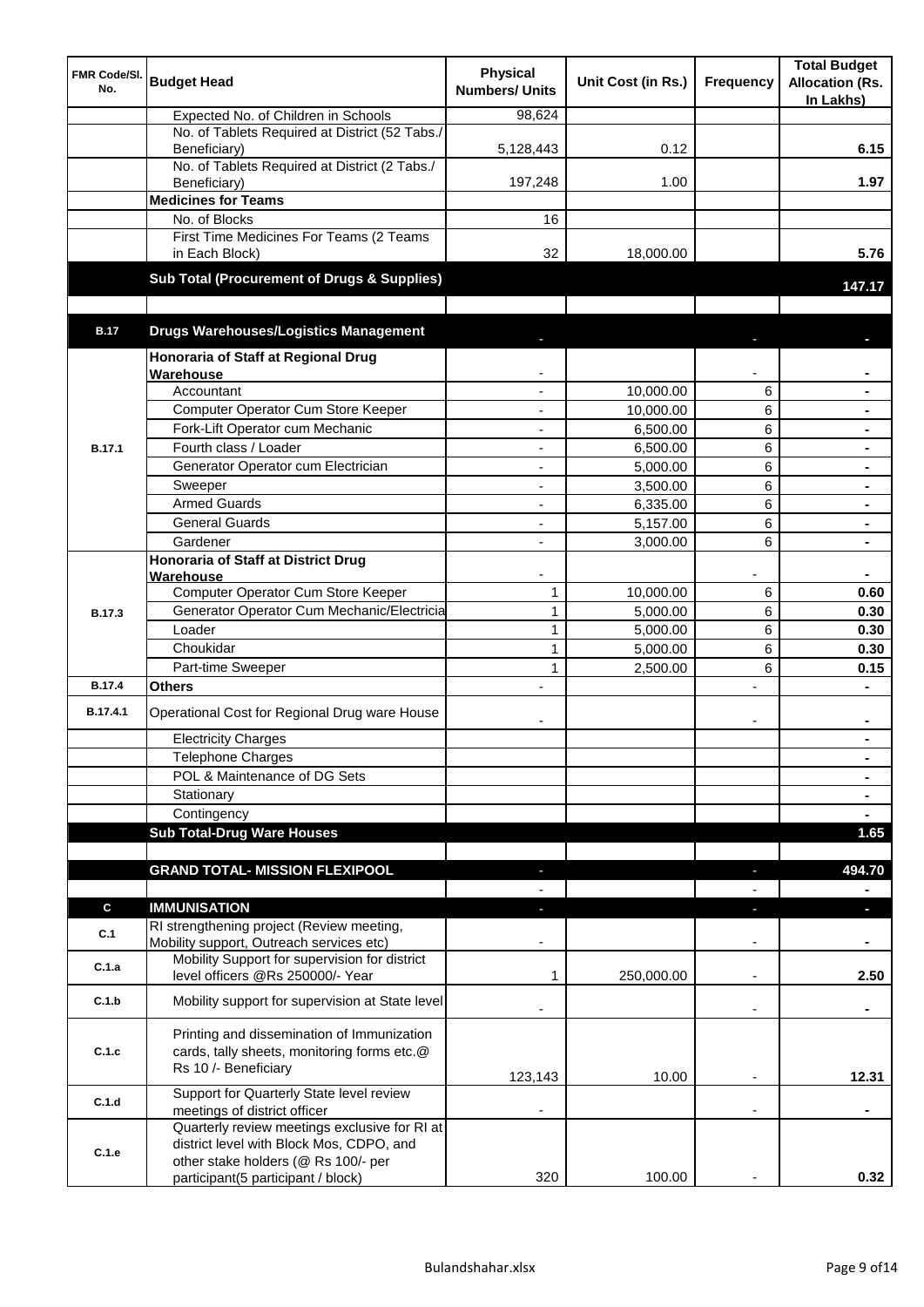| <b>FMR Code/SI.</b><br>No. | <b>Budget Head</b>                                                                                                | <b>Physical</b><br><b>Numbers/ Units</b> | Unit Cost (in Rs.) | Frequency                | <b>Total Budget</b><br><b>Allocation (Rs.</b><br>In Lakhs) |
|----------------------------|-------------------------------------------------------------------------------------------------------------------|------------------------------------------|--------------------|--------------------------|------------------------------------------------------------|
|                            | Expected No. of Children in Schools                                                                               | 98,624                                   |                    |                          |                                                            |
|                            | No. of Tablets Required at District (52 Tabs./                                                                    |                                          |                    |                          |                                                            |
|                            | Beneficiary)<br>No. of Tablets Required at District (2 Tabs./                                                     | 5,128,443                                | 0.12               |                          | 6.15                                                       |
|                            | Beneficiary)                                                                                                      | 197,248                                  | 1.00               |                          | 1.97                                                       |
|                            | <b>Medicines for Teams</b>                                                                                        |                                          |                    |                          |                                                            |
|                            | No. of Blocks                                                                                                     | 16                                       |                    |                          |                                                            |
|                            | First Time Medicines For Teams (2 Teams                                                                           |                                          |                    |                          |                                                            |
|                            | in Each Block)                                                                                                    | 32                                       | 18,000.00          |                          | 5.76                                                       |
|                            | Sub Total (Procurement of Drugs & Supplies)                                                                       |                                          |                    |                          | 147.17                                                     |
|                            |                                                                                                                   |                                          |                    |                          |                                                            |
| <b>B.17</b>                | <b>Drugs Warehouses/Logistics Management</b>                                                                      |                                          |                    |                          |                                                            |
|                            | Honoraria of Staff at Regional Drug                                                                               |                                          |                    |                          |                                                            |
|                            | Warehouse                                                                                                         |                                          |                    |                          |                                                            |
|                            | Accountant                                                                                                        |                                          | 10,000.00          | 6                        |                                                            |
|                            | Computer Operator Cum Store Keeper                                                                                |                                          | 10,000.00          | 6                        | $\blacksquare$                                             |
|                            | Fork-Lift Operator cum Mechanic                                                                                   | ä,                                       | 6,500.00           | 6                        | $\blacksquare$                                             |
| <b>B.17.1</b>              | Fourth class / Loader                                                                                             | ä,                                       | 6,500.00           | 6                        | $\blacksquare$                                             |
|                            | Generator Operator cum Electrician                                                                                | ÷,                                       | 5,000.00           | 6                        |                                                            |
|                            | Sweeper                                                                                                           | ÷,                                       | 3,500.00           | 6                        |                                                            |
|                            | <b>Armed Guards</b>                                                                                               | ÷,                                       | 6,335.00           | 6                        |                                                            |
|                            | <b>General Guards</b>                                                                                             | $\blacksquare$                           | 5,157.00           | 6                        | $\blacksquare$                                             |
|                            | Gardener<br><b>Honoraria of Staff at District Drug</b>                                                            | $\blacksquare$                           | 3,000.00           | 6                        |                                                            |
|                            | Warehouse                                                                                                         |                                          |                    |                          |                                                            |
|                            | Computer Operator Cum Store Keeper                                                                                | $\mathbf{1}$                             | 10,000.00          | 6                        | 0.60                                                       |
| <b>B.17.3</b>              | Generator Operator Cum Mechanic/Electricia                                                                        | $\mathbf{1}$                             | 5,000.00           | 6                        | 0.30                                                       |
|                            | Loader                                                                                                            | $\mathbf{1}$                             | 5,000.00           | 6                        | 0.30                                                       |
|                            | Choukidar                                                                                                         | $\mathbf{1}$                             | 5,000.00           | 6                        | 0.30                                                       |
|                            | Part-time Sweeper                                                                                                 | 1                                        | 2,500.00           | 6                        | 0.15                                                       |
| <b>B.17.4</b>              | Others                                                                                                            |                                          |                    | $\overline{a}$           |                                                            |
| B.17.4.1                   | Operational Cost for Regional Drug ware House                                                                     |                                          |                    | $\overline{\phantom{a}}$ | $\blacksquare$                                             |
|                            | <b>Electricity Charges</b>                                                                                        |                                          |                    |                          |                                                            |
|                            | <b>Telephone Charges</b>                                                                                          |                                          |                    |                          | $\blacksquare$                                             |
|                            | POL & Maintenance of DG Sets                                                                                      |                                          |                    |                          | $\blacksquare$                                             |
|                            | Stationary                                                                                                        |                                          |                    |                          | $\blacksquare$                                             |
|                            | Contingency                                                                                                       |                                          |                    |                          | $\blacksquare$                                             |
|                            | <b>Sub Total-Drug Ware Houses</b>                                                                                 |                                          |                    |                          | 1.65                                                       |
|                            |                                                                                                                   |                                          |                    |                          |                                                            |
|                            | <b>GRAND TOTAL- MISSION FLEXIPOOL</b>                                                                             |                                          |                    |                          | 494.70                                                     |
| C                          | <b>IMMUNISATION</b>                                                                                               |                                          |                    | ٠                        | п                                                          |
| C.1                        | RI strengthening project (Review meeting,<br>Mobility support, Outreach services etc)                             |                                          |                    |                          |                                                            |
| C.1.a                      | Mobility Support for supervision for district<br>level officers @Rs 250000/- Year                                 | 1                                        | 250,000.00         | $\overline{\phantom{a}}$ | 2.50                                                       |
| C.1.b                      | Mobility support for supervision at State level                                                                   |                                          |                    | $\overline{\phantom{a}}$ | ٠                                                          |
| C.1.c                      | Printing and dissemination of Immunization<br>cards, tally sheets, monitoring forms etc.@<br>Rs 10 /- Beneficiary | 123,143                                  | 10.00              |                          | 12.31                                                      |
| C.1.d                      | Support for Quarterly State level review                                                                          |                                          |                    |                          |                                                            |
|                            | meetings of district officer                                                                                      |                                          |                    |                          |                                                            |
| C.1.e                      | Quarterly review meetings exclusive for RI at<br>district level with Block Mos, CDPO, and                         |                                          |                    |                          |                                                            |
|                            | other stake holders (@ Rs 100/- per<br>participant(5 participant / block)                                         | 320                                      | 100.00             |                          | 0.32                                                       |
|                            |                                                                                                                   |                                          |                    |                          |                                                            |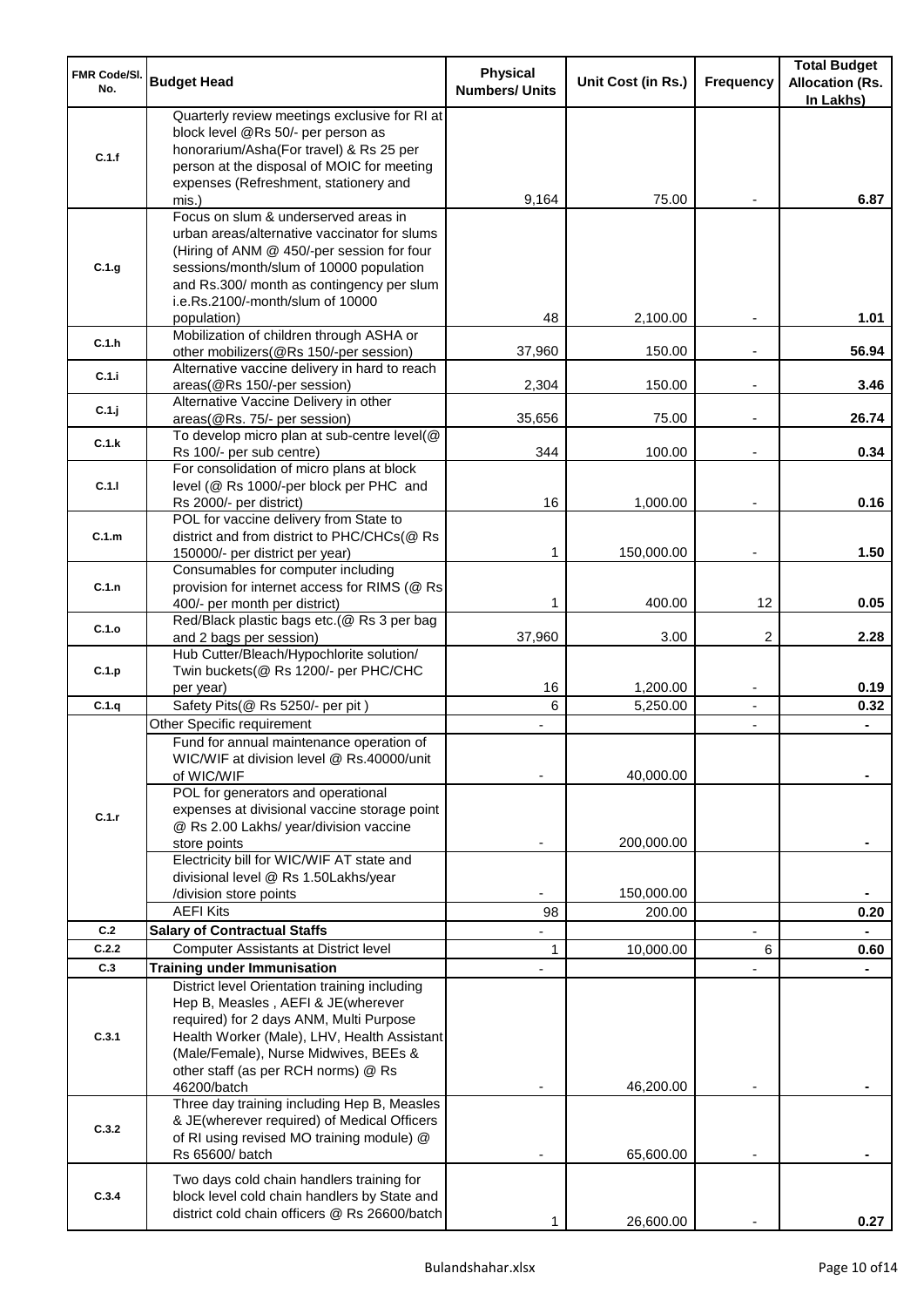| <b>FMR Code/SI.</b><br>No. | <b>Budget Head</b>                                                                                                                                                                                                                                             | <b>Physical</b><br><b>Numbers/ Units</b> | Unit Cost (in Rs.) | <b>Frequency</b>         | <b>Total Budget</b><br><b>Allocation (Rs.</b><br>In Lakhs) |
|----------------------------|----------------------------------------------------------------------------------------------------------------------------------------------------------------------------------------------------------------------------------------------------------------|------------------------------------------|--------------------|--------------------------|------------------------------------------------------------|
| C.1.f                      | Quarterly review meetings exclusive for RI at<br>block level @Rs 50/- per person as<br>honorarium/Asha(For travel) & Rs 25 per<br>person at the disposal of MOIC for meeting<br>expenses (Refreshment, stationery and                                          |                                          |                    |                          |                                                            |
|                            | mis.)                                                                                                                                                                                                                                                          | 9,164                                    | 75.00              |                          | 6.87                                                       |
| C.1.g                      | Focus on slum & underserved areas in<br>urban areas/alternative vaccinator for slums<br>(Hiring of ANM @ 450/-per session for four<br>sessions/month/slum of 10000 population<br>and Rs.300/ month as contingency per slum<br>i.e.Rs.2100/-month/slum of 10000 |                                          |                    |                          |                                                            |
|                            | population)<br>Mobilization of children through ASHA or                                                                                                                                                                                                        | 48                                       | 2,100.00           |                          | 1.01                                                       |
| C.1.h                      | other mobilizers(@Rs 150/-per session)<br>Alternative vaccine delivery in hard to reach                                                                                                                                                                        | 37,960                                   | 150.00             |                          | 56.94                                                      |
| C.1.i                      | areas(@Rs 150/-per session)                                                                                                                                                                                                                                    | 2,304                                    | 150.00             | $\overline{\phantom{a}}$ | 3.46                                                       |
| C.1.j                      | Alternative Vaccine Delivery in other<br>areas(@Rs. 75/- per session)                                                                                                                                                                                          | 35,656                                   | 75.00              | $\overline{\phantom{a}}$ | 26.74                                                      |
| C.1.k                      | To develop micro plan at sub-centre level(@<br>Rs 100/- per sub centre)                                                                                                                                                                                        | 344                                      | 100.00             |                          | 0.34                                                       |
|                            | For consolidation of micro plans at block                                                                                                                                                                                                                      |                                          |                    |                          |                                                            |
| C.1.1                      | level (@ Rs 1000/-per block per PHC and<br>Rs 2000/- per district)                                                                                                                                                                                             | 16                                       | 1,000.00           |                          | 0.16                                                       |
|                            | POL for vaccine delivery from State to                                                                                                                                                                                                                         |                                          |                    |                          |                                                            |
| C.1.m                      | district and from district to PHC/CHCs(@ Rs<br>150000/- per district per year)                                                                                                                                                                                 | 1                                        | 150,000.00         | $\overline{\phantom{a}}$ | 1.50                                                       |
|                            | Consumables for computer including                                                                                                                                                                                                                             |                                          |                    |                          |                                                            |
| C.1.n                      | provision for internet access for RIMS (@ Rs                                                                                                                                                                                                                   | 1                                        | 400.00             | 12                       | 0.05                                                       |
|                            | 400/- per month per district)<br>Red/Black plastic bags etc.(@ Rs 3 per bag                                                                                                                                                                                    |                                          |                    |                          |                                                            |
| C.1.o                      | and 2 bags per session)                                                                                                                                                                                                                                        | 37,960                                   | 3.00               | 2                        | 2.28                                                       |
| C.1.p                      | Hub Cutter/Bleach/Hypochlorite solution/<br>Twin buckets(@ Rs 1200/- per PHC/CHC                                                                                                                                                                               | 16                                       | 1,200.00           | $\overline{\phantom{a}}$ | 0.19                                                       |
| C.1.q                      | per year)<br>Safety Pits(@ Rs 5250/- per pit)                                                                                                                                                                                                                  | 6                                        | 5,250.00           | $\blacksquare$           | 0.32                                                       |
|                            | Other Specific requirement                                                                                                                                                                                                                                     |                                          |                    | $\blacksquare$           |                                                            |
|                            | Fund for annual maintenance operation of<br>WIC/WIF at division level @ Rs.40000/unit<br>of WIC/WIF                                                                                                                                                            |                                          | 40,000.00          |                          |                                                            |
| C.1.r                      | POL for generators and operational<br>expenses at divisional vaccine storage point<br>@ Rs 2.00 Lakhs/ year/division vaccine<br>store points                                                                                                                   |                                          | 200,000.00         |                          |                                                            |
|                            | Electricity bill for WIC/WIF AT state and                                                                                                                                                                                                                      |                                          |                    |                          |                                                            |
|                            | divisional level @ Rs 1.50Lakhs/year<br>/division store points                                                                                                                                                                                                 |                                          | 150,000.00         |                          |                                                            |
|                            | <b>AEFI Kits</b>                                                                                                                                                                                                                                               | 98                                       | 200.00             |                          | 0.20                                                       |
| C.2                        | <b>Salary of Contractual Staffs</b>                                                                                                                                                                                                                            |                                          |                    |                          |                                                            |
| C.2.2                      | <b>Computer Assistants at District level</b>                                                                                                                                                                                                                   | 1                                        | 10,000.00          | 6                        | 0.60                                                       |
| C.3                        | <b>Training under Immunisation</b><br>District level Orientation training including                                                                                                                                                                            |                                          |                    |                          |                                                            |
| C.3.1                      | Hep B, Measles, AEFI & JE(wherever<br>required) for 2 days ANM, Multi Purpose<br>Health Worker (Male), LHV, Health Assistant<br>(Male/Female), Nurse Midwives, BEEs &<br>other staff (as per RCH norms) @ Rs<br>46200/batch                                    |                                          | 46,200.00          |                          |                                                            |
| C.3.2                      | Three day training including Hep B, Measles<br>& JE(wherever required) of Medical Officers<br>of RI using revised MO training module) @<br>Rs 65600/ batch                                                                                                     |                                          | 65,600.00          |                          |                                                            |
| C.3.4                      | Two days cold chain handlers training for<br>block level cold chain handlers by State and<br>district cold chain officers @ Rs 26600/batch                                                                                                                     |                                          | 26,600.00          |                          | 0.27                                                       |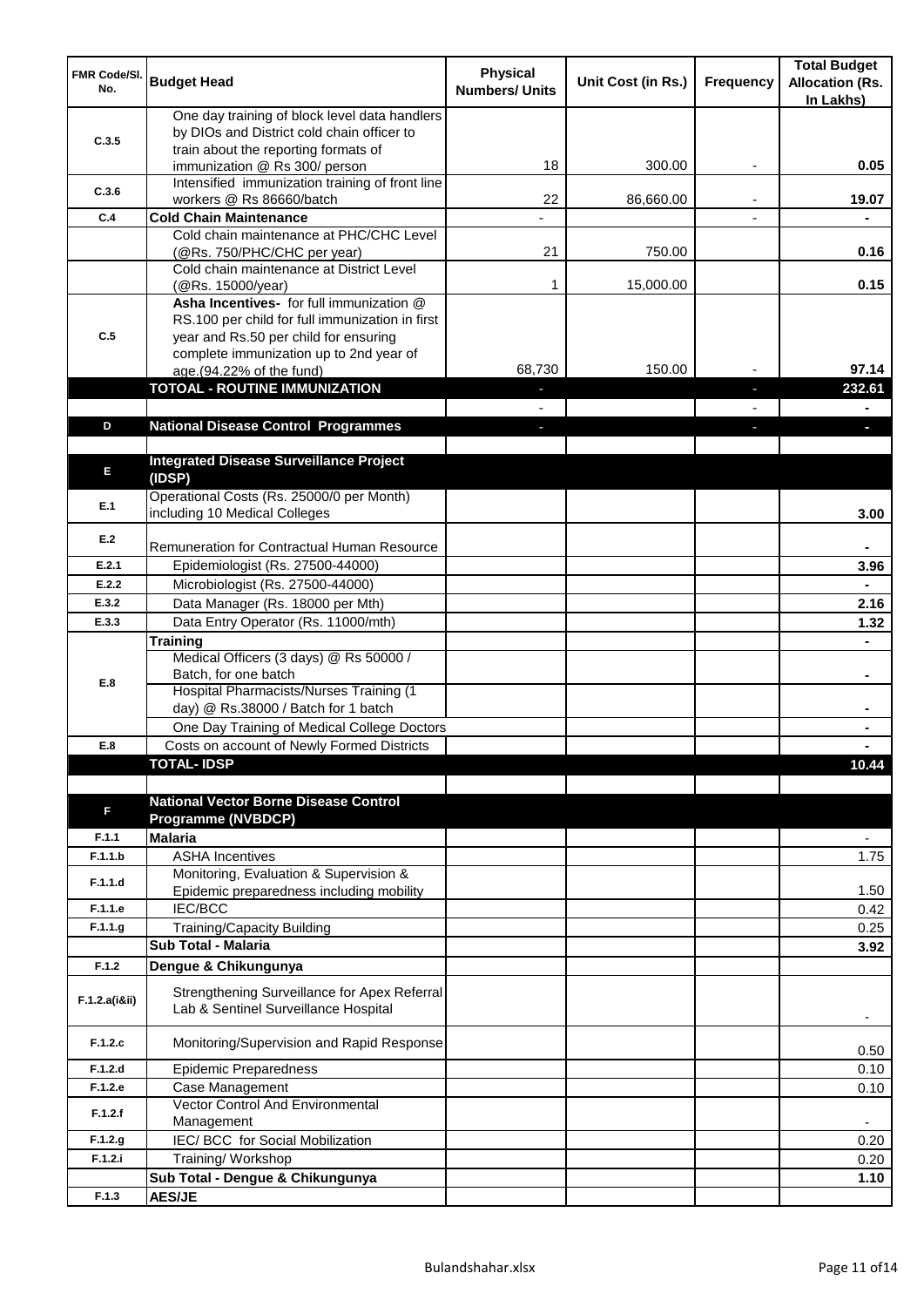| FMR Code/SI.<br>No. | <b>Budget Head</b>                                                                                                                  | <b>Physical</b><br><b>Numbers/ Units</b> | Unit Cost (in Rs.) | <b>Frequency</b>         | <b>Total Budget</b><br><b>Allocation (Rs.</b><br>In Lakhs) |
|---------------------|-------------------------------------------------------------------------------------------------------------------------------------|------------------------------------------|--------------------|--------------------------|------------------------------------------------------------|
| C.3.5               | One day training of block level data handlers<br>by DIOs and District cold chain officer to<br>train about the reporting formats of |                                          |                    |                          |                                                            |
|                     | immunization @ Rs 300/ person                                                                                                       | 18                                       | 300.00             |                          | 0.05                                                       |
| C.3.6               | Intensified immunization training of front line<br>workers @ Rs 86660/batch                                                         | 22                                       | 86,660.00          | $\overline{\phantom{a}}$ | 19.07                                                      |
| C.4                 | <b>Cold Chain Maintenance</b>                                                                                                       |                                          |                    |                          |                                                            |
|                     | Cold chain maintenance at PHC/CHC Level                                                                                             |                                          |                    |                          |                                                            |
|                     | (@Rs. 750/PHC/CHC per year)<br>Cold chain maintenance at District Level                                                             | 21                                       | 750.00             |                          | 0.16                                                       |
|                     | (@Rs. 15000/year)                                                                                                                   | 1                                        | 15,000.00          |                          | 0.15                                                       |
|                     | Asha Incentives- for full immunization @<br>RS.100 per child for full immunization in first                                         |                                          |                    |                          |                                                            |
| C.5                 | year and Rs.50 per child for ensuring                                                                                               |                                          |                    |                          |                                                            |
|                     | complete immunization up to 2nd year of<br>age.(94.22% of the fund)                                                                 | 68,730                                   | 150.00             |                          | 97.14                                                      |
|                     | <b>TOTOAL - ROUTINE IMMUNIZATION</b>                                                                                                |                                          |                    |                          | 232.61                                                     |
|                     |                                                                                                                                     |                                          |                    |                          |                                                            |
| D                   | <b>National Disease Control Programmes</b>                                                                                          |                                          |                    |                          |                                                            |
|                     |                                                                                                                                     |                                          |                    |                          |                                                            |
| Е                   | <b>Integrated Disease Surveillance Project</b><br>(IDSP)                                                                            |                                          |                    |                          |                                                            |
| E.1                 | Operational Costs (Rs. 25000/0 per Month)<br>including 10 Medical Colleges                                                          |                                          |                    |                          | 3.00                                                       |
| E.2                 | Remuneration for Contractual Human Resource                                                                                         |                                          |                    |                          |                                                            |
| E.2.1               | Epidemiologist (Rs. 27500-44000)                                                                                                    |                                          |                    |                          | 3.96                                                       |
| E.2.2               | Microbiologist (Rs. 27500-44000)                                                                                                    |                                          |                    |                          |                                                            |
| E.3.2               | Data Manager (Rs. 18000 per Mth)                                                                                                    |                                          |                    |                          | 2.16                                                       |
| E.3.3               | Data Entry Operator (Rs. 11000/mth)                                                                                                 |                                          |                    |                          | 1.32                                                       |
|                     | <b>Training</b><br>Medical Officers (3 days) @ Rs 50000 /                                                                           |                                          |                    |                          |                                                            |
|                     | Batch, for one batch                                                                                                                |                                          |                    |                          | $\blacksquare$                                             |
| E.8                 | <b>Hospital Pharmacists/Nurses Training (1)</b>                                                                                     |                                          |                    |                          |                                                            |
|                     | day) @ Rs.38000 / Batch for 1 batch                                                                                                 |                                          |                    |                          |                                                            |
| E.8                 | One Day Training of Medical College Doctors<br>Costs on account of Newly Formed Districts                                           |                                          |                    |                          |                                                            |
|                     | <b>TOTAL-IDSP</b>                                                                                                                   |                                          |                    |                          | 10.44                                                      |
|                     |                                                                                                                                     |                                          |                    |                          |                                                            |
| F                   | <b>National Vector Borne Disease Control</b><br><b>Programme (NVBDCP)</b>                                                           |                                          |                    |                          |                                                            |
| F.1.1               | <b>Malaria</b>                                                                                                                      |                                          |                    |                          | ٠                                                          |
| F.1.1.b             | <b>ASHA Incentives</b>                                                                                                              |                                          |                    |                          | 1.75                                                       |
| F.1.1.d             | Monitoring, Evaluation & Supervision &<br>Epidemic preparedness including mobility                                                  |                                          |                    |                          | 1.50                                                       |
| F.1.1.e             | <b>IEC/BCC</b>                                                                                                                      |                                          |                    |                          | 0.42                                                       |
| F.1.1.g             | Training/Capacity Building                                                                                                          |                                          |                    |                          | 0.25                                                       |
|                     | Sub Total - Malaria                                                                                                                 |                                          |                    |                          | 3.92                                                       |
| F.1.2               | Dengue & Chikungunya                                                                                                                |                                          |                    |                          |                                                            |
| F.1.2.a(iⅈ)         | Strengthening Surveillance for Apex Referral<br>Lab & Sentinel Surveillance Hospital                                                |                                          |                    |                          |                                                            |
| F.1.2.c             | Monitoring/Supervision and Rapid Response                                                                                           |                                          |                    |                          | 0.50                                                       |
| F.1.2.d             | <b>Epidemic Preparedness</b>                                                                                                        |                                          |                    |                          | 0.10                                                       |
| F.1.2.e             | Case Management<br><b>Vector Control And Environmental</b>                                                                          |                                          |                    |                          | 0.10                                                       |
| F.1.2.f             | Management                                                                                                                          |                                          |                    |                          | $\overline{\phantom{a}}$                                   |
| F.1.2.g             | IEC/BCC for Social Mobilization                                                                                                     |                                          |                    |                          | 0.20                                                       |
| F.1.2.i             | Training/Workshop                                                                                                                   |                                          |                    |                          | 0.20                                                       |
|                     | Sub Total - Dengue & Chikungunya                                                                                                    |                                          |                    |                          | 1.10                                                       |
| F.1.3               | <b>AES/JE</b>                                                                                                                       |                                          |                    |                          |                                                            |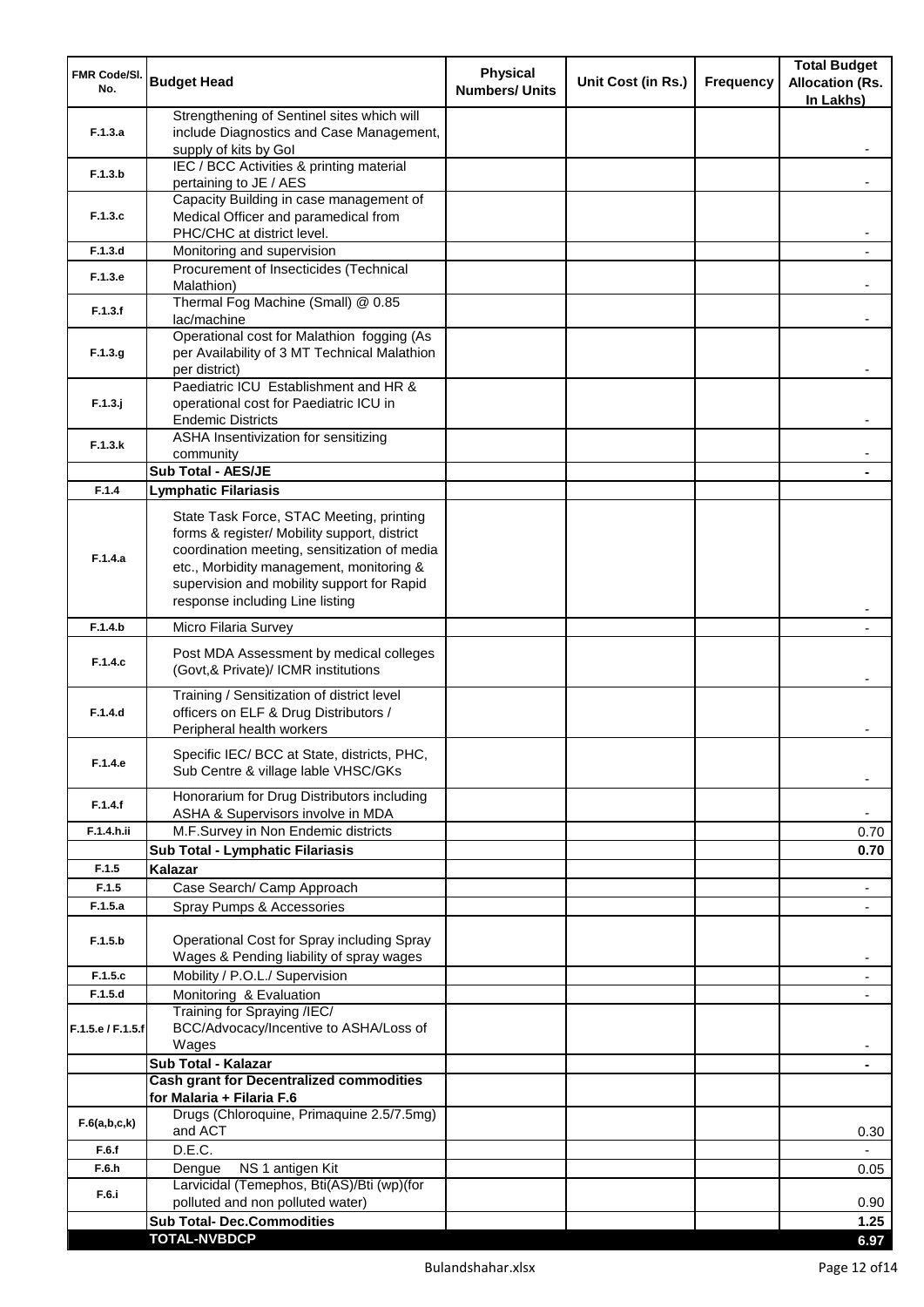| FMR Code/SI.<br>No. | <b>Budget Head</b>                                                                                                                                                                                                                                                    | <b>Physical</b><br><b>Numbers/ Units</b> | Unit Cost (in Rs.) | Frequency | <b>Total Budget</b><br><b>Allocation (Rs.</b><br>In Lakhs) |
|---------------------|-----------------------------------------------------------------------------------------------------------------------------------------------------------------------------------------------------------------------------------------------------------------------|------------------------------------------|--------------------|-----------|------------------------------------------------------------|
| F.1.3.a             | Strengthening of Sentinel sites which will<br>include Diagnostics and Case Management,<br>supply of kits by Gol                                                                                                                                                       |                                          |                    |           |                                                            |
| F.1.3.b             | IEC / BCC Activities & printing material<br>pertaining to JE / AES                                                                                                                                                                                                    |                                          |                    |           |                                                            |
|                     | Capacity Building in case management of                                                                                                                                                                                                                               |                                          |                    |           |                                                            |
| F.1.3.c             | Medical Officer and paramedical from<br>PHC/CHC at district level.                                                                                                                                                                                                    |                                          |                    |           |                                                            |
| F.1.3.d             | Monitoring and supervision<br>Procurement of Insecticides (Technical                                                                                                                                                                                                  |                                          |                    |           |                                                            |
| F.1.3.e             | Malathion)<br>Thermal Fog Machine (Small) @ 0.85                                                                                                                                                                                                                      |                                          |                    |           |                                                            |
| F.1.3.f             | lac/machine                                                                                                                                                                                                                                                           |                                          |                    |           |                                                            |
| F.1.3.g             | Operational cost for Malathion fogging (As<br>per Availability of 3 MT Technical Malathion<br>per district)                                                                                                                                                           |                                          |                    |           |                                                            |
| $F.1.3.$ j          | Paediatric ICU Establishment and HR &<br>operational cost for Paediatric ICU in<br><b>Endemic Districts</b>                                                                                                                                                           |                                          |                    |           |                                                            |
| F.1.3.k             | ASHA Insentivization for sensitizing<br>community                                                                                                                                                                                                                     |                                          |                    |           |                                                            |
|                     | Sub Total - AES/JE                                                                                                                                                                                                                                                    |                                          |                    |           |                                                            |
| F.1.4               | <b>Lymphatic Filariasis</b>                                                                                                                                                                                                                                           |                                          |                    |           |                                                            |
| F.1.4.a             | State Task Force, STAC Meeting, printing<br>forms & register/ Mobility support, district<br>coordination meeting, sensitization of media<br>etc., Morbidity management, monitoring &<br>supervision and mobility support for Rapid<br>response including Line listing |                                          |                    |           |                                                            |
| F.1.4.b             | Micro Filaria Survey                                                                                                                                                                                                                                                  |                                          |                    |           |                                                            |
| F.1.4.c             | Post MDA Assessment by medical colleges<br>(Govt,& Private)/ ICMR institutions                                                                                                                                                                                        |                                          |                    |           |                                                            |
| F.1.4.d             | Training / Sensitization of district level<br>officers on ELF & Drug Distributors /<br>Peripheral health workers                                                                                                                                                      |                                          |                    |           |                                                            |
| F.1.4.e             | Specific IEC/ BCC at State, districts, PHC,<br>Sub Centre & village lable VHSC/GKs                                                                                                                                                                                    |                                          |                    |           |                                                            |
| F.1.4.f             | Honorarium for Drug Distributors including<br>ASHA & Supervisors involve in MDA                                                                                                                                                                                       |                                          |                    |           | $\blacksquare$                                             |
| F.1.4.h.ii          | M.F.Survey in Non Endemic districts                                                                                                                                                                                                                                   |                                          |                    |           | 0.70                                                       |
|                     | Sub Total - Lymphatic Filariasis                                                                                                                                                                                                                                      |                                          |                    |           | 0.70                                                       |
| F.1.5<br>F.1.5      | Kalazar                                                                                                                                                                                                                                                               |                                          |                    |           |                                                            |
| F.1.5.a             | Case Search/ Camp Approach<br>Spray Pumps & Accessories                                                                                                                                                                                                               |                                          |                    |           | $\overline{\phantom{a}}$<br>$\blacksquare$                 |
| F.1.5.b             | Operational Cost for Spray including Spray<br>Wages & Pending liability of spray wages                                                                                                                                                                                |                                          |                    |           |                                                            |
| F.1.5.c             | Mobility / P.O.L./ Supervision                                                                                                                                                                                                                                        |                                          |                    |           |                                                            |
| F.1.5.d             | Monitoring & Evaluation                                                                                                                                                                                                                                               |                                          |                    |           |                                                            |
| F.1.5.e / F.1.5.f   | Training for Spraying /IEC/<br>BCC/Advocacy/Incentive to ASHA/Loss of<br>Wages                                                                                                                                                                                        |                                          |                    |           |                                                            |
|                     | Sub Total - Kalazar                                                                                                                                                                                                                                                   |                                          |                    |           | ٠                                                          |
|                     | <b>Cash grant for Decentralized commodities</b><br>for Malaria + Filaria F.6                                                                                                                                                                                          |                                          |                    |           |                                                            |
| F.6(a,b,c,k)        | Drugs (Chloroquine, Primaquine 2.5/7.5mg)<br>and ACT                                                                                                                                                                                                                  |                                          |                    |           | 0.30                                                       |
| F.6.f               | D.E.C.                                                                                                                                                                                                                                                                |                                          |                    |           |                                                            |
| F.6.h               | NS 1 antigen Kit<br>Dengue                                                                                                                                                                                                                                            |                                          |                    |           | 0.05                                                       |
| F.6.i               | Larvicidal (Temephos, Bti(AS)/Bti (wp)(for<br>polluted and non polluted water)                                                                                                                                                                                        |                                          |                    |           | 0.90                                                       |
|                     | <b>Sub Total- Dec.Commodities</b>                                                                                                                                                                                                                                     |                                          |                    |           | 1.25                                                       |
|                     | <b>TOTAL-NVBDCP</b>                                                                                                                                                                                                                                                   |                                          |                    |           | 6.97                                                       |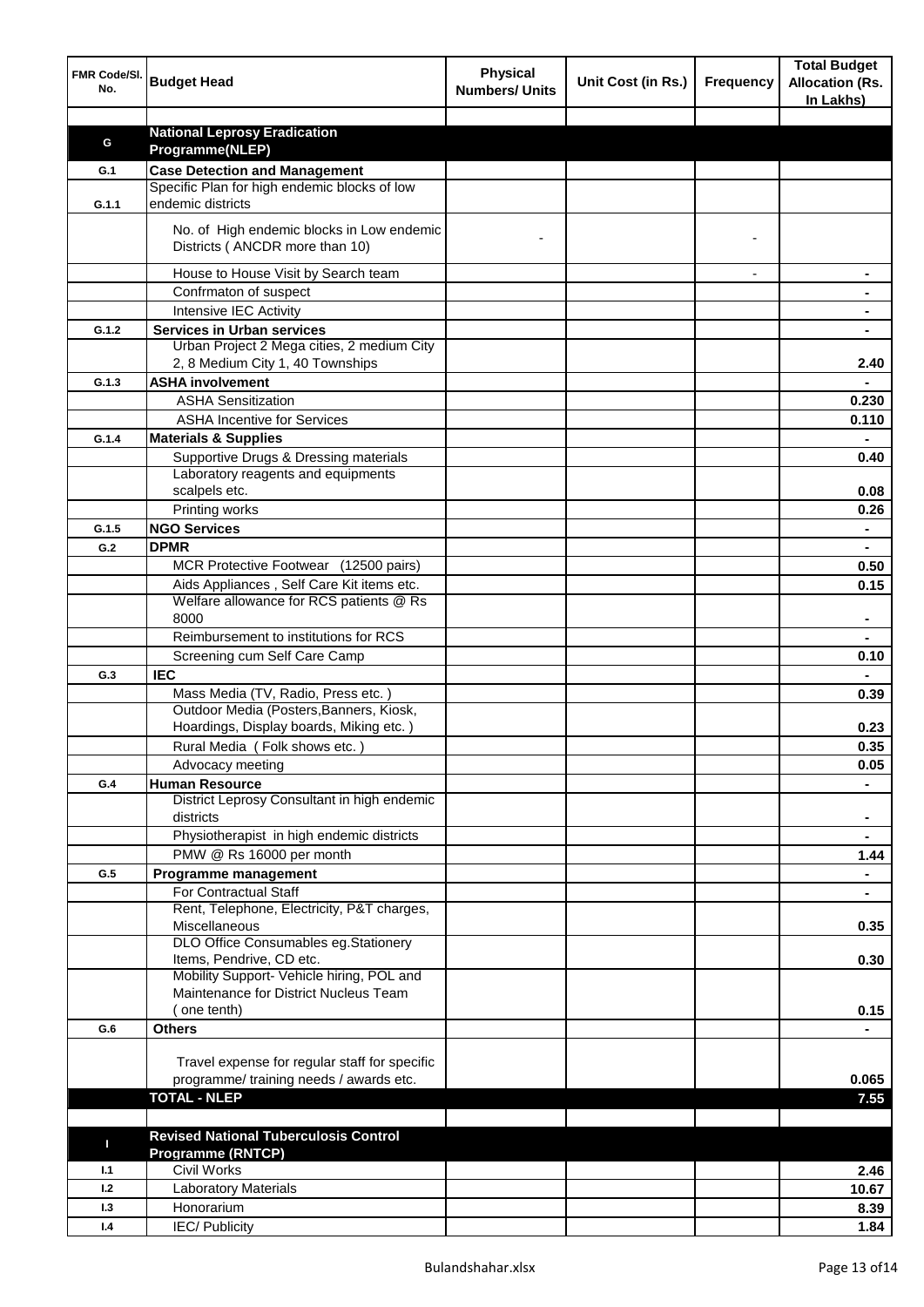| FMR Code/SI.<br>No. | <b>Budget Head</b>                                                          | <b>Physical</b><br><b>Numbers/ Units</b> | Unit Cost (in Rs.) | <b>Frequency</b> | <b>Total Budget</b><br><b>Allocation (Rs.</b><br>In Lakhs) |
|---------------------|-----------------------------------------------------------------------------|------------------------------------------|--------------------|------------------|------------------------------------------------------------|
|                     |                                                                             |                                          |                    |                  |                                                            |
| G                   | <b>National Leprosy Eradication</b>                                         |                                          |                    |                  |                                                            |
|                     | Programme(NLEP)                                                             |                                          |                    |                  |                                                            |
| G.1                 | <b>Case Detection and Management</b>                                        |                                          |                    |                  |                                                            |
| G.1.1               | Specific Plan for high endemic blocks of low<br>endemic districts           |                                          |                    |                  |                                                            |
|                     | No. of High endemic blocks in Low endemic<br>Districts (ANCDR more than 10) |                                          |                    |                  |                                                            |
|                     | House to House Visit by Search team                                         |                                          |                    |                  |                                                            |
|                     | Confrmaton of suspect                                                       |                                          |                    |                  |                                                            |
|                     | Intensive IEC Activity                                                      |                                          |                    |                  |                                                            |
| G.1.2               | <b>Services in Urban services</b>                                           |                                          |                    |                  |                                                            |
|                     | Urban Project 2 Mega cities, 2 medium City                                  |                                          |                    |                  |                                                            |
|                     | 2, 8 Medium City 1, 40 Townships                                            |                                          |                    |                  | 2.40                                                       |
| G.1.3               | <b>ASHA involvement</b>                                                     |                                          |                    |                  |                                                            |
|                     | <b>ASHA Sensitization</b>                                                   |                                          |                    |                  | 0.230                                                      |
|                     | <b>ASHA Incentive for Services</b>                                          |                                          |                    |                  | 0.110                                                      |
| G.1.4               | <b>Materials &amp; Supplies</b>                                             |                                          |                    |                  |                                                            |
|                     | Supportive Drugs & Dressing materials                                       |                                          |                    |                  | 0.40                                                       |
|                     | Laboratory reagents and equipments<br>scalpels etc.                         |                                          |                    |                  | 0.08                                                       |
|                     | Printing works                                                              |                                          |                    |                  | 0.26                                                       |
| G.1.5               | <b>NGO Services</b>                                                         |                                          |                    |                  | $\blacksquare$                                             |
| G.2                 | <b>DPMR</b>                                                                 |                                          |                    |                  | $\blacksquare$                                             |
|                     | MCR Protective Footwear (12500 pairs)                                       |                                          |                    |                  | 0.50                                                       |
|                     | Aids Appliances, Self Care Kit items etc.                                   |                                          |                    |                  | 0.15                                                       |
|                     | Welfare allowance for RCS patients @ Rs<br>8000                             |                                          |                    |                  |                                                            |
|                     | Reimbursement to institutions for RCS                                       |                                          |                    |                  |                                                            |
|                     | Screening cum Self Care Camp                                                |                                          |                    |                  | 0.10                                                       |
| G.3                 | <b>IEC</b>                                                                  |                                          |                    |                  |                                                            |
|                     | Mass Media (TV, Radio, Press etc.)                                          |                                          |                    |                  | 0.39                                                       |
|                     | Outdoor Media (Posters, Banners, Kiosk,                                     |                                          |                    |                  |                                                            |
|                     | Hoardings, Display boards, Miking etc.)                                     |                                          |                    |                  | 0.23                                                       |
|                     | Rural Media (Folk shows etc.)                                               |                                          |                    |                  | 0.35                                                       |
|                     | Advocacy meeting                                                            |                                          |                    |                  | 0.05                                                       |
| G.4                 | <b>Human Resource</b>                                                       |                                          |                    |                  |                                                            |
|                     | District Leprosy Consultant in high endemic<br>districts                    |                                          |                    |                  | $\blacksquare$                                             |
|                     | Physiotherapist in high endemic districts                                   |                                          |                    |                  | $\blacksquare$                                             |
|                     | PMW @ Rs 16000 per month                                                    |                                          |                    |                  | 1.44                                                       |
| G.5                 | Programme management                                                        |                                          |                    |                  | $\blacksquare$                                             |
|                     | For Contractual Staff                                                       |                                          |                    |                  |                                                            |
|                     | Rent, Telephone, Electricity, P&T charges,<br>Miscellaneous                 |                                          |                    |                  | 0.35                                                       |
|                     | DLO Office Consumables eg.Stationery                                        |                                          |                    |                  |                                                            |
|                     | Items, Pendrive, CD etc.                                                    |                                          |                    |                  | 0.30                                                       |
|                     | Mobility Support- Vehicle hiring, POL and                                   |                                          |                    |                  |                                                            |
|                     | Maintenance for District Nucleus Team                                       |                                          |                    |                  |                                                            |
|                     | (one tenth)<br><b>Others</b>                                                |                                          |                    |                  | 0.15                                                       |
| G.6                 |                                                                             |                                          |                    |                  |                                                            |
|                     | Travel expense for regular staff for specific                               |                                          |                    |                  |                                                            |
|                     | programme/ training needs / awards etc.                                     |                                          |                    |                  | 0.065                                                      |
|                     | <b>TOTAL - NLEP</b>                                                         |                                          |                    |                  | 7.55                                                       |
|                     |                                                                             |                                          |                    |                  |                                                            |
| П                   | <b>Revised National Tuberculosis Control</b>                                |                                          |                    |                  |                                                            |
|                     | <b>Programme (RNTCP)</b>                                                    |                                          |                    |                  |                                                            |
| 1.1                 | <b>Civil Works</b>                                                          |                                          |                    |                  | 2.46                                                       |
| 1.2                 | <b>Laboratory Materials</b>                                                 |                                          |                    |                  | 10.67                                                      |
| 1.3                 | Honorarium                                                                  |                                          |                    |                  | 8.39                                                       |
| 1.4                 | <b>IEC/Publicity</b>                                                        |                                          |                    |                  | 1.84                                                       |